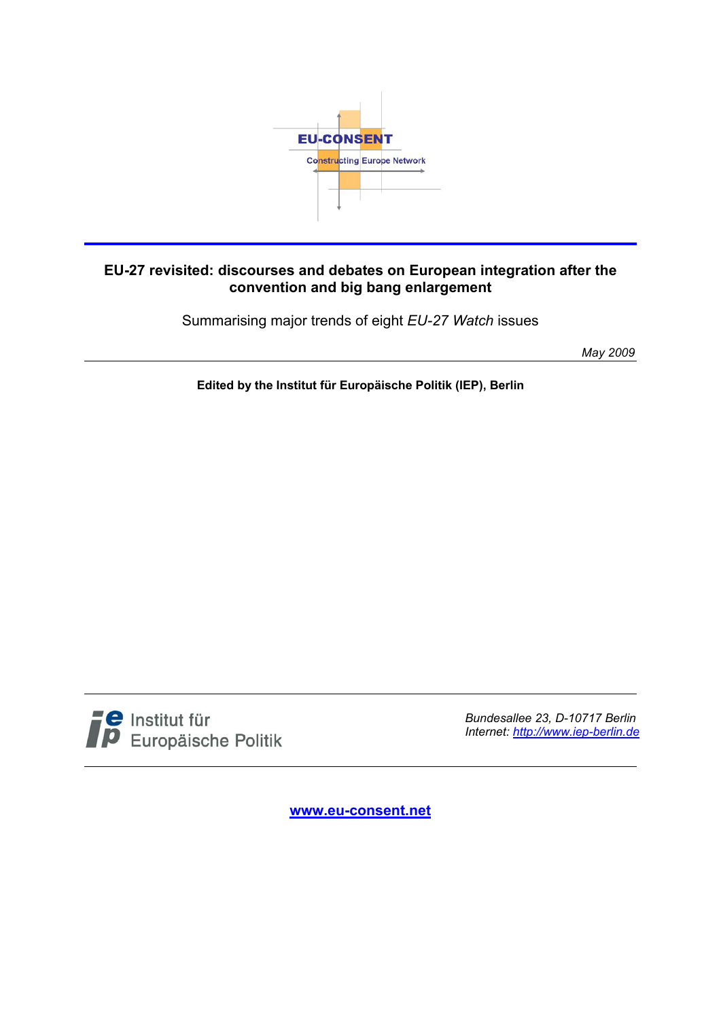

#### **EU-27 revisited: discourses and debates on European integration after the convention and big bang enlargement**

Summarising major trends of eight *EU-27 Watch* issues

*May 2009* 

**Edited by the Institut für Europäische Politik (IEP), Berlin** 



*Bundesallee 23, D-10717 Berlin Internet: http://www.iep-berlin.de*

**www.eu-consent.net**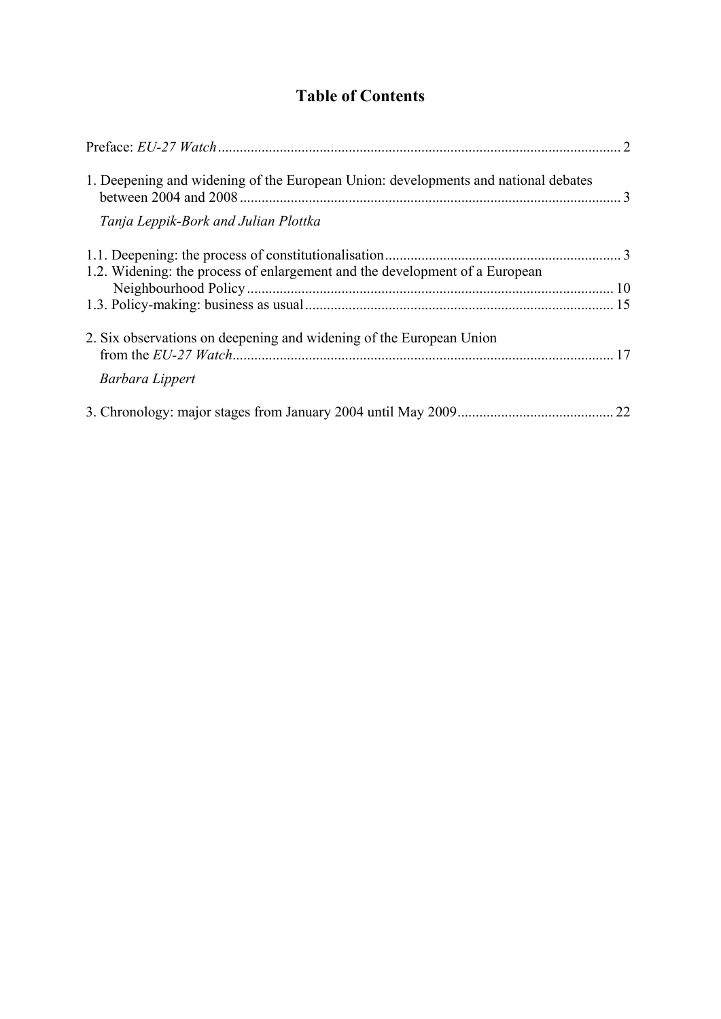## **Table of Contents**

| 1. Deepening and widening of the European Union: developments and national debates |  |
|------------------------------------------------------------------------------------|--|
| Tanja Leppik-Bork and Julian Plottka                                               |  |
| 1.2. Widening: the process of enlargement and the development of a European        |  |
|                                                                                    |  |
|                                                                                    |  |
| 2. Six observations on deepening and widening of the European Union                |  |
| Barbara Lippert                                                                    |  |
|                                                                                    |  |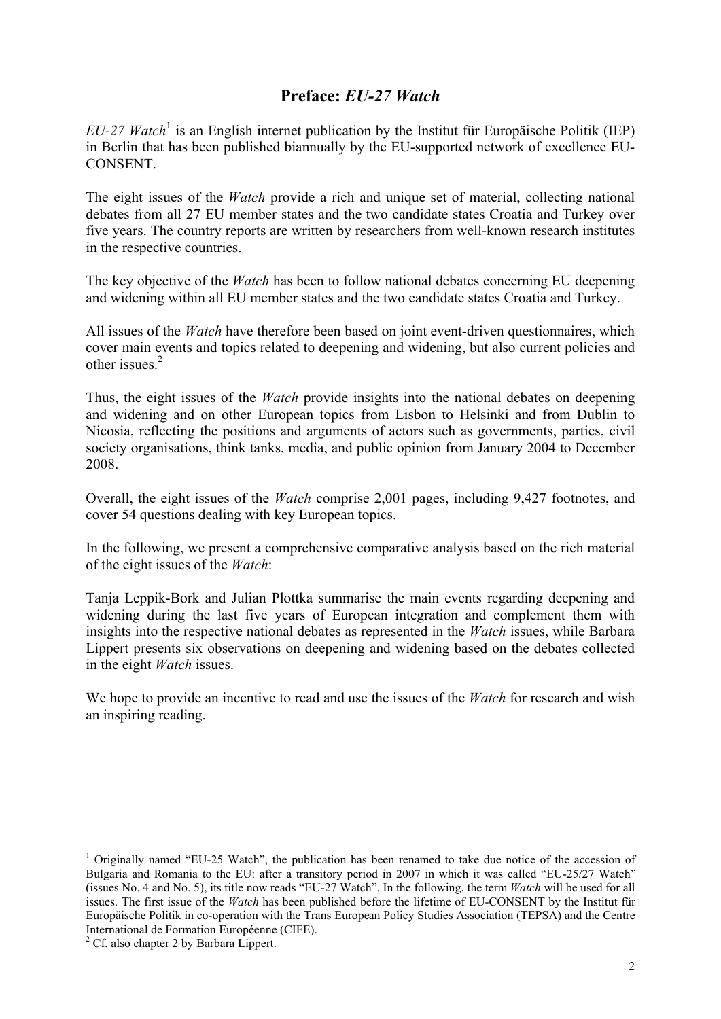## **Preface:** *EU-27 Watch*

*EU-27 Watch*<sup>1</sup> is an English internet publication by the Institut für Europäische Politik (IEP) in Berlin that has been published biannually by the EU-supported network of excellence EU-CONSENT.

The eight issues of the *Watch* provide a rich and unique set of material, collecting national debates from all 27 EU member states and the two candidate states Croatia and Turkey over five years. The country reports are written by researchers from well-known research institutes in the respective countries.

The key objective of the *Watch* has been to follow national debates concerning EU deepening and widening within all EU member states and the two candidate states Croatia and Turkey.

All issues of the *Watch* have therefore been based on joint event-driven questionnaires, which cover main events and topics related to deepening and widening, but also current policies and other issues<sup>2</sup>

Thus, the eight issues of the *Watch* provide insights into the national debates on deepening and widening and on other European topics from Lisbon to Helsinki and from Dublin to Nicosia, reflecting the positions and arguments of actors such as governments, parties, civil society organisations, think tanks, media, and public opinion from January 2004 to December 2008.

Overall, the eight issues of the *Watch* comprise 2,001 pages, including 9,427 footnotes, and cover 54 questions dealing with key European topics.

In the following, we present a comprehensive comparative analysis based on the rich material of the eight issues of the *Watch*:

Tanja Leppik-Bork and Julian Plottka summarise the main events regarding deepening and widening during the last five years of European integration and complement them with insights into the respective national debates as represented in the *Watch* issues, while Barbara Lippert presents six observations on deepening and widening based on the debates collected in the eight *Watch* issues.

We hope to provide an incentive to read and use the issues of the *Watch* for research and wish an inspiring reading.

<sup>&</sup>lt;sup>1</sup> Originally named "EU-25 Watch", the publication has been renamed to take due notice of the accession of Bulgaria and Romania to the EU: after a transitory period in 2007 in which it was called "EU-25/27 Watch" (issues No. 4 and No. 5), its title now reads "EU-27 Watch". In the following, the term *Watch* will be used for all issues. The first issue of the *Watch* has been published before the lifetime of EU-CONSENT by the Institut für Europäische Politik in co-operation with the Trans European Policy Studies Association (TEPSA) and the Centre International de Formation Européenne (CIFE).

<span id="page-2-0"></span><sup>&</sup>lt;sup>2</sup> Cf. also chapter 2 by Barbara Lippert.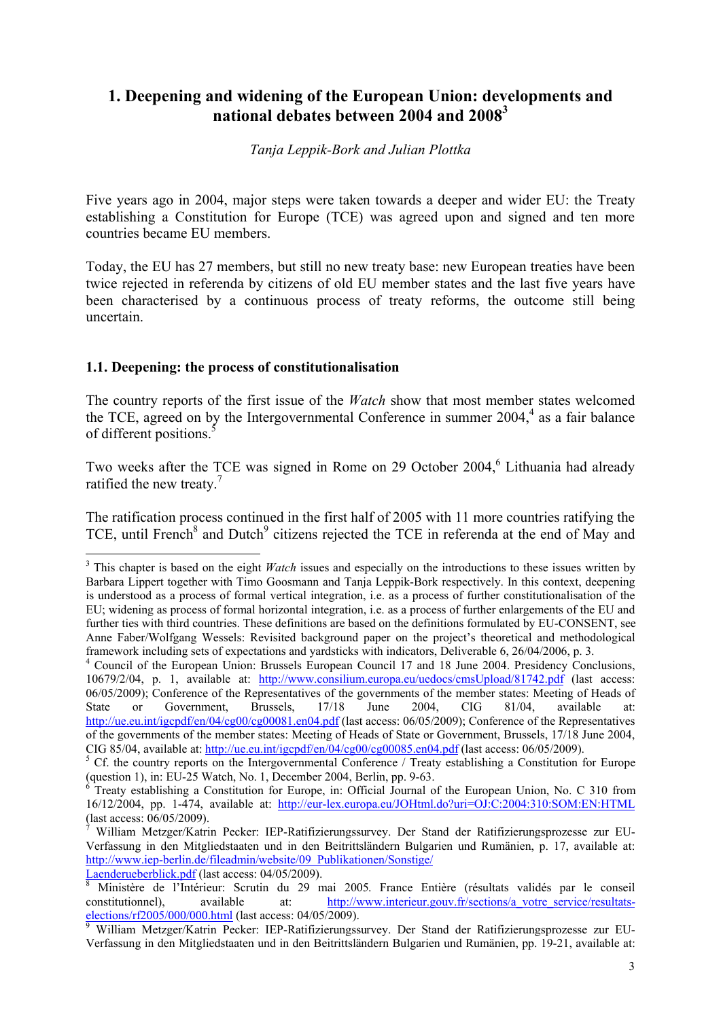## **1. Deepening and widening of the European Union: developments and national debates between 2004 and 2008<sup>3</sup>**

#### *Tanja Leppik-Bork and Julian Plottka*

Five years ago in 2004, major steps were taken towards a deeper and wider EU: the Treaty establishing a Constitution for Europe (TCE) was agreed upon and signed and ten more countries became EU members.

Today, the EU has 27 members, but still no new treaty base: new European treaties have been twice rejected in referenda by citizens of old EU member states and the last five years have been characterised by a continuous process of treaty reforms, the outcome still being uncertain.

#### **1.1. Deepening: the process of constitutionalisation**

The country reports of the first issue of the *Watch* show that most member states welcomed the TCE, agreed on by the Intergovernmental Conference in summer  $2004<sup>4</sup>$  as a fair balance of different positions.<sup>5</sup>

Two weeks after the TCE was signed in Rome on 29 October 2004,<sup>6</sup> Lithuania had already ratified the new treaty.<sup>7</sup>

The ratification process continued in the first half of 2005 with 11 more countries ratifying the TCE, until French<sup>8</sup> and Dutch<sup>9</sup> citizens rejected the TCE in referenda at the end of May and

<sup>&</sup>lt;sup>3</sup> This chapter is based on the eight *Watch* issues and especially on the introductions to these issues written by Barbara Lippert together with Timo Goosmann and Tanja Leppik-Bork respectively. In this context, deepening is understood as a process of formal vertical integration, i.e. as a process of further constitutionalisation of the EU; widening as process of formal horizontal integration, i.e. as a process of further enlargements of the EU and further ties with third countries. These definitions are based on the definitions formulated by EU-CONSENT, see Anne Faber/Wolfgang Wessels: Revisited background paper on the project's theoretical and methodological framework including sets of expectations and yardsticks with indicators, Deliverable 6, 26/04/2006, p. 3.

<sup>&</sup>lt;sup>4</sup> Council of the European Union: Brussels European Council 17 and 18 June 2004. Presidency Conclusions, 10679/2/04, p. 1, available at: http://www.consilium.europa.eu/uedocs/cmsUpload/81742.pdf (last access: 06/05/2009); Conference of the Representatives of the governments of the member states: Meeting of Heads of State or Government, Brussels, 17/18 June 2004, CIG 81/04, available at: http://ue.eu.int/igcpdf/en/04/cg00/cg00081.en04.pdf (last access: 06/05/2009); Conference of the Representatives of the governments of the member states: Meeting of Heads of State or Government, Brussels, 17/18 June 2004, CIG 85/04, available at: http://ue.eu.int/igcpdf/en/04/cg00/cg00085.en04.pdf (last access: 06/05/2009).

 $5$  Cf. the country reports on the Intergovernmental Conference / Treaty establishing a Constitution for Europe (question 1), in: EU-25 Watch, No. 1, December 2004, Berlin, pp. 9-63. 6

Treaty establishing a Constitution for Europe, in: Official Journal of the European Union, No. C 310 from 16/12/2004, pp. 1-474, available at: http://eur-lex.europa.eu/JOHtml.do?uri=OJ:C:2004:310:SOM:EN:HTML (last access: 06/05/2009).

<sup>7</sup> William Metzger/Katrin Pecker: IEP-Ratifizierungssurvey. Der Stand der Ratifizierungsprozesse zur EU-Verfassung in den Mitgliedstaaten und in den Beitrittsländern Bulgarien und Rumänien, p. 17, available at: [http://www.iep-berlin.de/fileadmin/website/09\\_Publikationen/Sonstige/](http://www.iep-berlin.de/fileadmin/website/09_Publikationen/Sonstige/Laenderueberblick.pdf)

Laenderueberblick.pdf (last access: 04/05/2009).

Ministère de l'Intérieur: Scrutin du 29 mai 2005. France Entière (résultats validés par le conseil constitutionnel), available at: http://www.interieur.gouv.fr/sections/a votre\_service/resultatselections/rf2005/000/000.html (last access: 04/05/2009).

<span id="page-3-0"></span>William Metzger/Katrin Pecker: IEP-Ratifizierungssurvey. Der Stand der Ratifizierungsprozesse zur EU-Verfassung in den Mitgliedstaaten und in den Beitrittsländern Bulgarien und Rumänien, pp. 19-21, available at: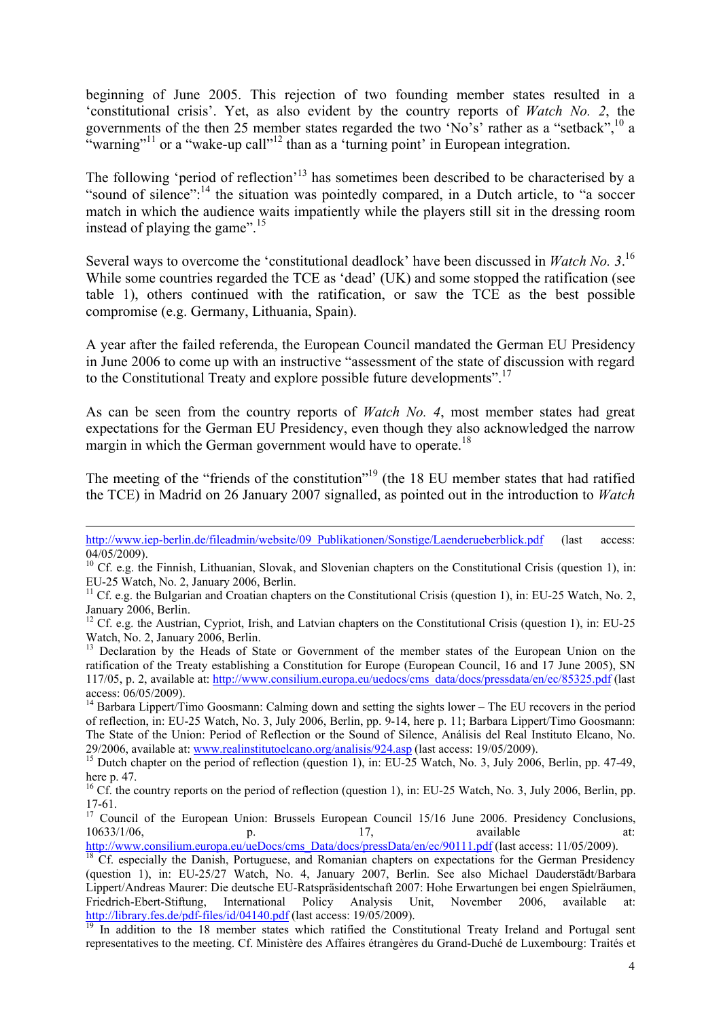beginning of June 2005. This rejection of two founding member states resulted in a 'constitutional crisis'. Yet, as also evident by the country reports of *Watch No. 2*, the governments of the then 25 member states regarded the two 'No's' rather as a "setback",  $^{10}$  a "warning"<sup>11</sup> or a "wake-up call"<sup>12</sup> than as a 'turning point' in European integration.

The following 'period of reflection'<sup>13</sup> has sometimes been described to be characterised by a "sound of silence":<sup>14</sup> the situation was pointedly compared, in a Dutch article, to "a soccer match in which the audience waits impatiently while the players still sit in the dressing room instead of playing the game".<sup>15</sup>

Several ways to overcome the 'constitutional deadlock' have been discussed in *Watch No. 3*. 16 While some countries regarded the TCE as 'dead' (UK) and some stopped the ratification (see table 1), others continued with the ratification, or saw the TCE as the best possible compromise (e.g. Germany, Lithuania, Spain).

A year after the failed referenda, the European Council mandated the German EU Presidency in June 2006 to come up with an instructive "assessment of the state of discussion with regard to the Constitutional Treaty and explore possible future developments".<sup>17</sup>

As can be seen from the country reports of *Watch No. 4*, most member states had great expectations for the German EU Presidency, even though they also acknowledged the narrow margin in which the German government would have to operate.<sup>18</sup>

The meeting of the "friends of the constitution"<sup>19</sup> (the 18 EU member states that had ratified the TCE) in Madrid on 26 January 2007 signalled, as pointed out in the introduction to *Watch* 

http://www.iep-berlin.de/fileadmin/website/09\_Publikationen/Sonstige/Laenderueberblick.pdf (last access:  $\overline{04/05/2009}$ .

<sup>&</sup>lt;sup>10</sup> Cf. e.g. the Finnish, Lithuanian, Slovak, and Slovenian chapters on the Constitutional Crisis (question 1), in: EU-25 Watch, No. 2, January 2006, Berlin.

<sup>&</sup>lt;sup>11</sup> Cf. e.g. the Bulgarian and Croatian chapters on the Constitutional Crisis (question 1), in: EU-25 Watch, No. 2, January 2006, Berlin.

<sup>&</sup>lt;sup>12</sup> Cf. e.g. the Austrian, Cypriot, Irish, and Latvian chapters on the Constitutional Crisis (question 1), in: EU-25 Watch, No. 2, January 2006, Berlin.

<sup>&</sup>lt;sup>13</sup> Declaration by the Heads of State or Government of the member states of the European Union on the ratification of the Treaty establishing a Constitution for Europe (European Council, 16 and 17 June 2005), SN 117/05, p. 2, available at: http://www.consilium.europa.eu/uedocs/cms\_data/docs/pressdata/en/ec/85325.pdf (last access: 06/05/2009).

<sup>&</sup>lt;sup>14</sup> Barbara Lippert/Timo Goosmann: Calming down and setting the sights lower – The EU recovers in the period of reflection, in: EU-25 Watch, No. 3, July 2006, Berlin, pp. 9-14, here p. 11; Barbara Lippert/Timo Goosmann: The State of the Union: Period of Reflection or the Sound of Silence, Análisis del Real Instituto Elcano, No. 29/2006, available at: www.realinstitutoelcano.org/analisis/924.asp (last access: 19/05/2009).<br><sup>15</sup> Dutch chapter on the period of reflection (question 1), in: EU-25 Watch, No. 3, July 2006, Berlin, pp. 47-49,

here p. 47.

<sup>&</sup>lt;sup>16</sup> Cf. the country reports on the period of reflection (question 1), in: EU-25 Watch, No. 3, July 2006, Berlin, pp. 17-61.

<sup>&</sup>lt;sup>17</sup> Council of the European Union: Brussels European Council 15/16 June 2006. Presidency Conclusions, 10633/1/06, **p. 17,** available at:

http://www.consilium.europa.eu/ueDocs/cms\_Data/docs/pressData/en/ec/90111.pdf (last access: 11/05/2009).<br><sup>18</sup> Cf. especially the Danish, Portuguese, and Romanian chapters on expectations for the German Presidency

<sup>(</sup>question 1), in: EU-25/27 Watch, No. 4, January 2007, Berlin. See also Michael Dauderstädt/Barbara Lippert/Andreas Maurer: Die deutsche EU-Ratspräsidentschaft 2007: Hohe Erwartungen bei engen Spielräumen, Friedrich-Ebert-Stiftung, International Policy Analysis Unit, November 2006, available at:<br>http://library.fes.de/pdf-files/id/04140.pdf (last access: 19/05/2009).

In addition to the 18 member states which ratified the Constitutional Treaty Ireland and Portugal sent representatives to the meeting. Cf. Ministère des Affaires étrangères du Grand-Duché de Luxembourg: Traités et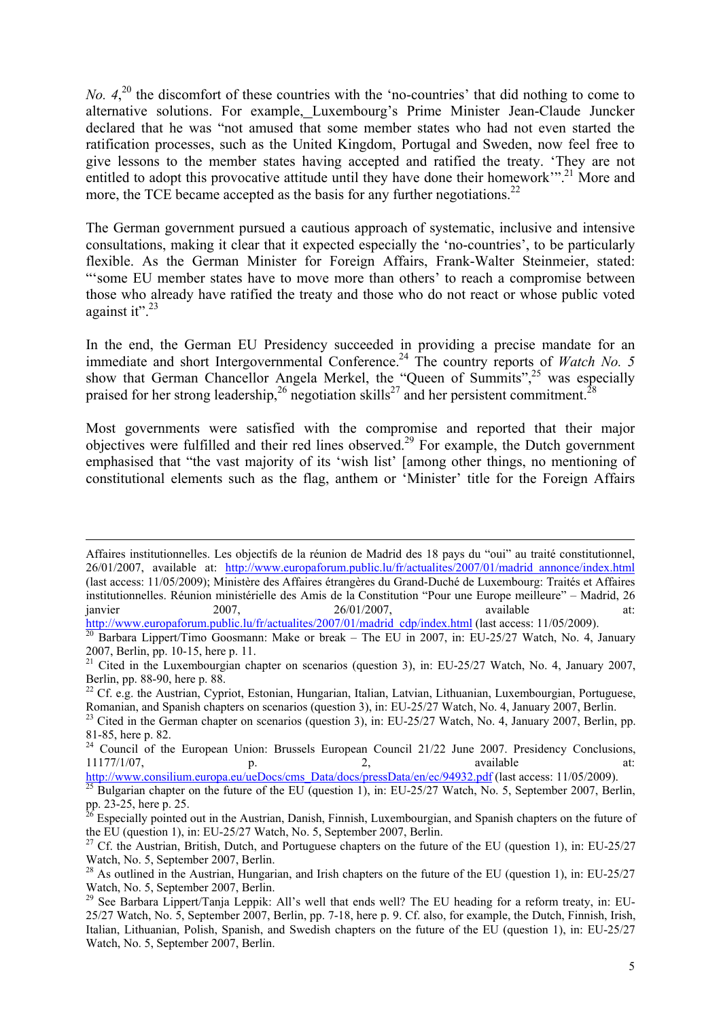*No.*  $4,^{20}$  the discomfort of these countries with the 'no-countries' that did nothing to come to alternative solutions. For example, Luxembourg's Prime Minister Jean-Claude Juncker declared that he was "not amused that some member states who had not even started the ratification processes, such as the United Kingdom, Portugal and Sweden, now feel free to give lessons to the member states having accepted and ratified the treaty. 'They are not entitled to adopt this provocative attitude until they have done their homework'".<sup>21</sup> More and more, the TCE became accepted as the basis for any further negotiations.<sup>22</sup>

The German government pursued a cautious approach of systematic, inclusive and intensive consultations, making it clear that it expected especially the 'no-countries', to be particularly flexible. As the German Minister for Foreign Affairs, Frank-Walter Steinmeier, stated: "'some EU member states have to move more than others' to reach a compromise between those who already have ratified the treaty and those who do not react or whose public voted against it". $^{23}$ 

In the end, the German EU Presidency succeeded in providing a precise mandate for an immediate and short Intergovernmental Conference.<sup>24</sup> The country reports of *Watch No. 5* show that German Chancellor Angela Merkel, the "Queen of Summits",<sup>25</sup> was especially praised for her strong leadership,<sup>26</sup> negotiation skills<sup>27</sup> and her persistent commitment.<sup>28</sup>

Most governments were satisfied with the compromise and reported that their major objectives were fulfilled and their red lines observed.<sup>29</sup> For example, the Dutch government emphasised that "the vast majority of its 'wish list' [among other things, no mentioning of constitutional elements such as the flag, anthem or 'Minister' title for the Foreign Affairs

Affaires institutionnelles. Les objectifs de la réunion de Madrid des 18 pays du "oui" au traité constitutionnel, 26/01/2007, available at: http://www.europaforum.public.lu/fr/actualites/2007/01/madrid\_annonce/index.html (last access: 11/05/2009); Ministère des Affaires étrangères du Grand-Duché de Luxembourg: Traités et Affaires institutionnelles. Réunion ministérielle des Amis de la Constitution "Pour une Europe meilleure" – Madrid, 26 janvier 2007, 26/01/2007, available at:<br>http://www.europaforum.public.lu/fr/actualites/2007/01/madrid cdp/index.html (last access: 11/05/2009).

 $\frac{1}{20}$  Barbara Lippert/Timo Goosmann: Make or break – The EU in 2007, in: EU-25/27 Watch, No. 4, January 2007, Berlin, pp. 10-15, here p. 11.

<sup>&</sup>lt;sup>21</sup> Cited in the Luxembourgian chapter on scenarios (question 3), in: EU-25/27 Watch, No. 4, January 2007, Berlin, pp. 88-90, here p. 88.

<sup>&</sup>lt;sup>22</sup> Cf. e.g. the Austrian, Cypriot, Estonian, Hungarian, Italian, Latvian, Lithuanian, Luxembourgian, Portuguese, Romanian, and Spanish chapters on scenarios (question 3), in: EU-25/27 Watch, No. 4, January 2007, Berlin.

<sup>&</sup>lt;sup>23</sup> Cited in the German chapter on scenarios (question 3), in: EU-25/27 Watch, No. 4, January 2007, Berlin, pp. 81-85, here p. 82.

 $24$  Council of the European Union: Brussels European Council 21/22 June 2007. Presidency Conclusions, 11177/1/07, p. 2, available at:<br>http://www.consilium.europa.eu/ueDocs/cms Data/docs/pressData/en/ec/94932.pdf (last access: 11/05/2009).

<sup>&</sup>lt;sup>25</sup> Bulgarian chapter on the future of the EU (question 1), in: EU-25/27 Watch, No. 5, September 2007, Berlin, pp. 23-25, here p. 25.

 $\frac{6}{5}$  Especially pointed out in the Austrian, Danish, Finnish, Luxembourgian, and Spanish chapters on the future of the EU (question 1), in: EU-25/27 Watch, No. 5, September 2007, Berlin.

<sup>&</sup>lt;sup>27</sup> Cf. the Austrian, British, Dutch, and Portuguese chapters on the future of the EU (question 1), in: EU-25/27 Watch, No. 5, September 2007, Berlin.

<sup>&</sup>lt;sup>28</sup> As outlined in the Austrian, Hungarian, and Irish chapters on the future of the EU (question 1), in: EU-25/27 Watch, No. 5, September 2007, Berlin.

 $^{29}$  See Barbara Lippert/Tanja Leppik: All's well that ends well? The EU heading for a reform treaty, in: EU-25/27 Watch, No. 5, September 2007, Berlin, pp. 7-18, here p. 9. Cf. also, for example, the Dutch, Finnish, Irish, Italian, Lithuanian, Polish, Spanish, and Swedish chapters on the future of the EU (question 1), in: EU-25/27 Watch, No. 5, September 2007, Berlin.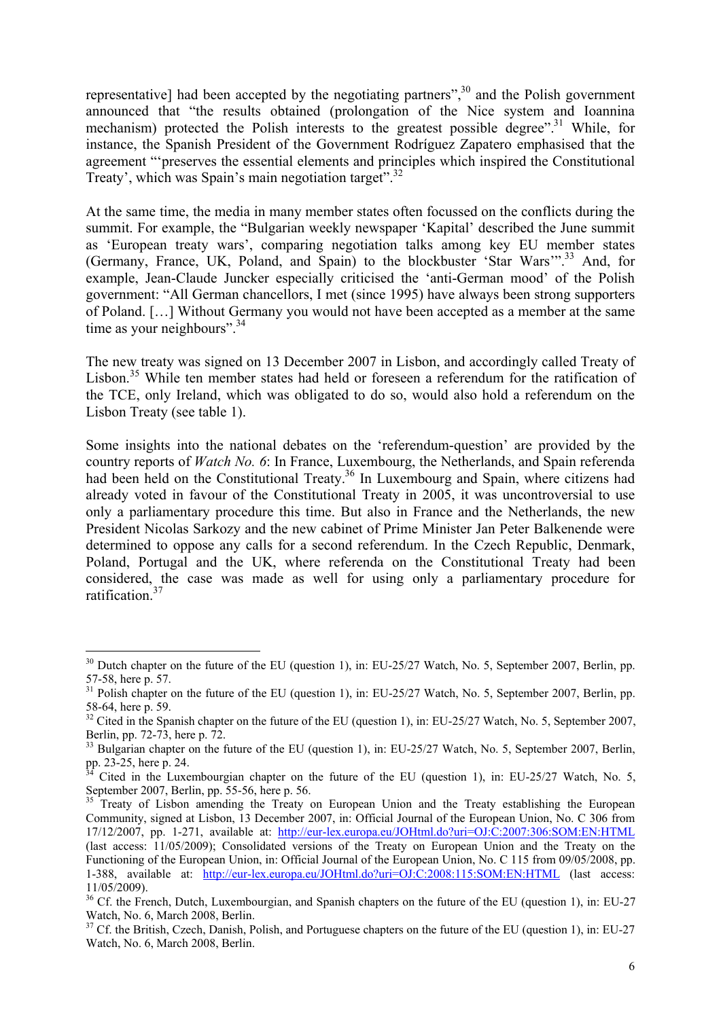representative] had been accepted by the negotiating partners",<sup>30</sup> and the Polish government announced that "the results obtained (prolongation of the Nice system and Ioannina mechanism) protected the Polish interests to the greatest possible degree".<sup>31</sup> While, for instance, the Spanish President of the Government Rodríguez Zapatero emphasised that the agreement "'preserves the essential elements and principles which inspired the Constitutional Treaty', which was Spain's main negotiation target".<sup>32</sup>

At the same time, the media in many member states often focussed on the conflicts during the summit. For example, the "Bulgarian weekly newspaper 'Kapital' described the June summit as 'European treaty wars', comparing negotiation talks among key EU member states (Germany, France, UK, Poland, and Spain) to the blockbuster 'Star Wars'".33 And, for example, Jean-Claude Juncker especially criticised the 'anti-German mood' of the Polish government: "All German chancellors, I met (since 1995) have always been strong supporters of Poland. […] Without Germany you would not have been accepted as a member at the same time as your neighbours".<sup>34</sup>

The new treaty was signed on 13 December 2007 in Lisbon, and accordingly called Treaty of Lisbon.<sup>35</sup> While ten member states had held or foreseen a referendum for the ratification of the TCE, only Ireland, which was obligated to do so, would also hold a referendum on the Lisbon Treaty (see table 1).

Some insights into the national debates on the 'referendum-question' are provided by the country reports of *Watch No. 6*: In France, Luxembourg, the Netherlands, and Spain referenda had been held on the Constitutional Treaty.<sup>36</sup> In Luxembourg and Spain, where citizens had already voted in favour of the Constitutional Treaty in 2005, it was uncontroversial to use only a parliamentary procedure this time. But also in France and the Netherlands, the new President Nicolas Sarkozy and the new cabinet of Prime Minister Jan Peter Balkenende were determined to oppose any calls for a second referendum. In the Czech Republic, Denmark, Poland, Portugal and the UK, where referenda on the Constitutional Treaty had been considered, the case was made as well for using only a parliamentary procedure for ratification<sup>37</sup>

<sup>&</sup>lt;sup>30</sup> Dutch chapter on the future of the EU (question 1), in: EU-25/27 Watch, No. 5, September 2007, Berlin, pp. 57-58, here p. 57.

<sup>&</sup>lt;sup>31</sup> Polish chapter on the future of the EU (question 1), in: EU-25/27 Watch, No. 5, September 2007, Berlin, pp. 58-64, here p. 59.

 $32$  Cited in the Spanish chapter on the future of the EU (question 1), in: EU-25/27 Watch, No. 5, September 2007, Berlin, pp. 72-73, here p. 72.

<sup>&</sup>lt;sup>33</sup> Bulgarian chapter on the future of the EU (question 1), in: EU-25/27 Watch, No. 5, September 2007, Berlin, pp. 23-25, here p. 24.

Cited in the Luxembourgian chapter on the future of the EU (question 1), in: EU-25/27 Watch, No. 5, September 2007, Berlin, pp. 55-56, here p. 56.

<sup>35</sup> Treaty of Lisbon amending the Treaty on European Union and the Treaty establishing the European Community, signed at Lisbon, 13 December 2007, in: Official Journal of the European Union, No. C 306 from 17/12/2007, pp. 1-271, available at: http://eur-lex.europa.eu/JOHtml.do?uri=OJ:C:2007:306:SOM:EN:HTML (last access: 11/05/2009); Consolidated versions of the Treaty on European Union and the Treaty on the Functioning of the European Union, in: Official Journal of the European Union, No. C 115 from 09/05/2008, pp. 1-388, available at: http://eur-lex.europa.eu/JOHtml.do?uri=OJ:C:2008:115:SOM:EN:HTML (last access: 11/05/2009).

<sup>&</sup>lt;sup>36</sup> Cf. the French, Dutch, Luxembourgian, and Spanish chapters on the future of the EU (question 1), in: EU-27 Watch, No. 6, March 2008, Berlin.

 $37$  Cf. the British, Czech, Danish, Polish, and Portuguese chapters on the future of the EU (question 1), in: EU-27 Watch, No. 6, March 2008, Berlin.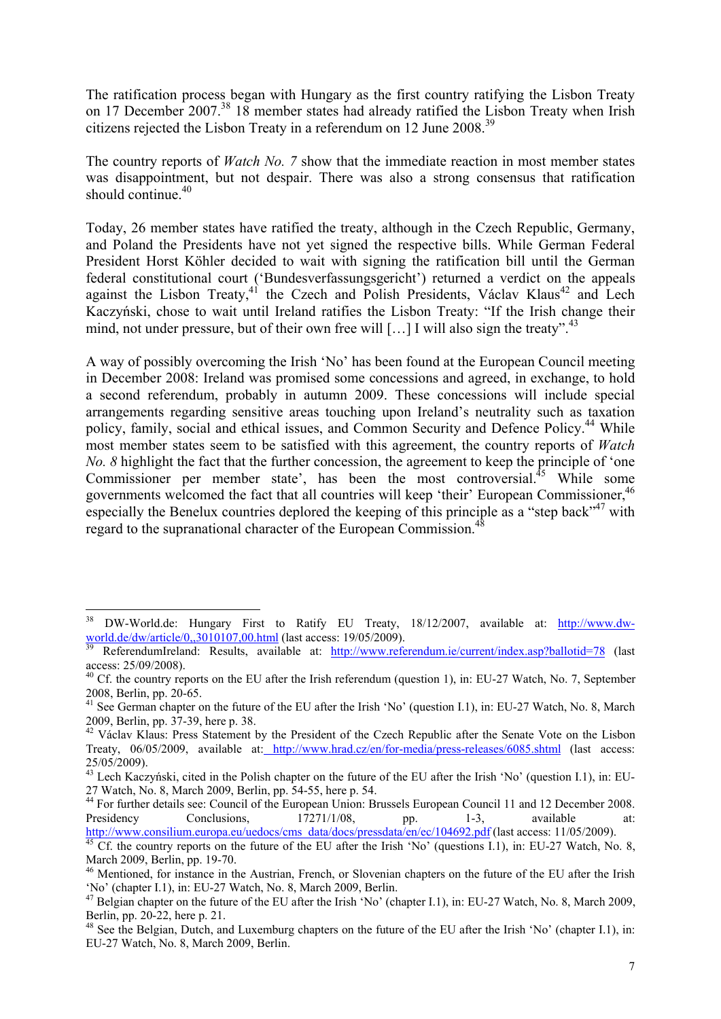The ratification process began with Hungary as the first country ratifying the Lisbon Treaty on 17 December 2007.<sup>38</sup> 18 member states had already ratified the Lisbon Treaty when Irish citizens rejected the Lisbon Treaty in a referendum on 12 June 2008.39

The country reports of *Watch No. 7* show that the immediate reaction in most member states was disappointment, but not despair. There was also a strong consensus that ratification should continue.<sup>40</sup>

Today, 26 member states have ratified the treaty, although in the Czech Republic, Germany, and Poland the Presidents have not yet signed the respective bills. While German Federal President Horst Köhler decided to wait with signing the ratification bill until the German federal constitutional court ('Bundesverfassungsgericht') returned a verdict on the appeals against the Lisbon Treaty, $4^{\circ}$  the Czech and Polish Presidents, Václav Klaus<sup>42</sup> and Lech Kaczyński, chose to wait until Ireland ratifies the Lisbon Treaty: "If the Irish change their mind, not under pressure, but of their own free will […] I will also sign the treaty".<sup>43</sup>

A way of possibly overcoming the Irish 'No' has been found at the European Council meeting in December 2008: Ireland was promised some concessions and agreed, in exchange, to hold a second referendum, probably in autumn 2009. These concessions will include special arrangements regarding sensitive areas touching upon Ireland's neutrality such as taxation policy, family, social and ethical issues, and Common Security and Defence Policy.<sup>44</sup> While most member states seem to be satisfied with this agreement, the country reports of *Watch No. 8* highlight the fact that the further concession, the agreement to keep the principle of 'one Commissioner per member state', has been the most controversial.<sup>45</sup> While some governments welcomed the fact that all countries will keep 'their' European Commissioner.<sup>46</sup> especially the Benelux countries deplored the keeping of this principle as a "step back"<sup>47</sup> with regard to the supranational character of the European Commission.<sup>4</sup>

<sup>&</sup>lt;sup>38</sup> DW-World.de: Hungary First to Ratify EU Treaty,  $18/12/2007$ , available at:  $\frac{http://www.dw-world.de/dw-article/0,.3010107.00.html}{$  (last access: 19/05/2009).

ReferendumIreland: Results, available at: http://www.referendum.ie/current/index.asp?ballotid=78 (last access: 25/09/2008).

<sup>&</sup>lt;sup>40</sup> Cf. the country reports on the EU after the Irish referendum (question 1), in: EU-27 Watch, No. 7, September 2008, Berlin, pp. 20-65.

<sup>&</sup>lt;sup>41</sup> See German chapter on the future of the EU after the Irish 'No' (question I.1), in: EU-27 Watch, No. 8, March 2009, Berlin, pp. 37-39, here p. 38.

<sup>&</sup>lt;sup>42</sup> Václav Klaus: Press Statement by the President of the Czech Republic after the Senate Vote on the Lisbon Treaty, 06/05/2009, available at: http://www.hrad.cz/en/for-media/press-releases/6085.shtml (last access: 25/05/2009).

 $^{43}$  Lech Kaczyński, cited in the Polish chapter on the future of the EU after the Irish 'No' (question I.1), in: EU-27 Watch, No. 8, March 2009, Berlin, pp. 54-55, here p. 54.

<sup>44</sup> For further details see: Council of the European Union: Brussels European Council 11 and 12 December 2008. Presidency Conclusions,  $\frac{17271}{108}$  pp. 1-3, available at:

http://www.consilium.europa.eu/uedocs/cms\_data/docs/pressdata/en/ec/104692.pdf (last access: 11/05/2009).<br><sup>45</sup> Cf. the country reports on the future of the EU after the Irish 'No' (questions I.1), in: EU-27 Watch, No. 8, March 2009, Berlin, pp. 19-70.

<sup>&</sup>lt;sup>46</sup> Mentioned, for instance in the Austrian, French, or Slovenian chapters on the future of the EU after the Irish 'No' (chapter I.1), in: EU-27 Watch, No. 8, March 2009, Berlin.

<sup>&</sup>lt;sup>47</sup> Belgian chapter on the future of the EU after the Irish 'No' (chapter I.1), in: EU-27 Watch, No. 8, March 2009, Berlin, pp. 20-22, here p. 21.

<sup>&</sup>lt;sup>48</sup> See the Belgian, Dutch, and Luxemburg chapters on the future of the EU after the Irish 'No' (chapter I.1), in: EU-27 Watch, No. 8, March 2009, Berlin.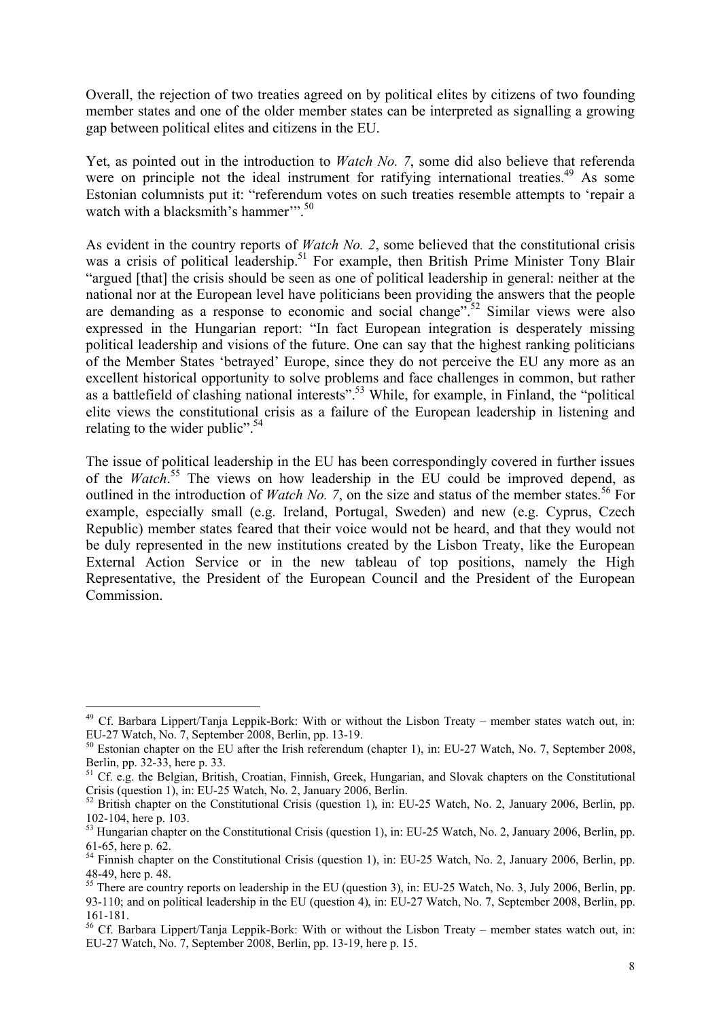Overall, the rejection of two treaties agreed on by political elites by citizens of two founding member states and one of the older member states can be interpreted as signalling a growing gap between political elites and citizens in the EU.

Yet, as pointed out in the introduction to *Watch No. 7*, some did also believe that referenda were on principle not the ideal instrument for ratifying international treaties.<sup>49</sup> As some Estonian columnists put it: "referendum votes on such treaties resemble attempts to 'repair a watch with a blacksmith's hammer".<sup>50</sup>

As evident in the country reports of *Watch No. 2*, some believed that the constitutional crisis was a crisis of political leadership.<sup>51</sup> For example, then British Prime Minister Tony Blair "argued [that] the crisis should be seen as one of political leadership in general: neither at the national nor at the European level have politicians been providing the answers that the people are demanding as a response to economic and social change".<sup>52</sup> Similar views were also expressed in the Hungarian report: "In fact European integration is desperately missing political leadership and visions of the future. One can say that the highest ranking politicians of the Member States 'betrayed' Europe, since they do not perceive the EU any more as an excellent historical opportunity to solve problems and face challenges in common, but rather as a battlefield of clashing national interests".<sup>53</sup> While, for example, in Finland, the "political" elite views the constitutional crisis as a failure of the European leadership in listening and relating to the wider public".<sup>54</sup>

The issue of political leadership in the EU has been correspondingly covered in further issues of the *Watch*. 55 The views on how leadership in the EU could be improved depend, as outlined in the introduction of *Watch No.* 7, on the size and status of the member states.<sup>56</sup> For example, especially small (e.g. Ireland, Portugal, Sweden) and new (e.g. Cyprus, Czech Republic) member states feared that their voice would not be heard, and that they would not be duly represented in the new institutions created by the Lisbon Treaty, like the European External Action Service or in the new tableau of top positions, namely the High Representative, the President of the European Council and the President of the European **Commission** 

<u>.</u>

<sup>49</sup> Cf. Barbara Lippert/Tanja Leppik-Bork: With or without the Lisbon Treaty – member states watch out, in: EU-27 Watch, No. 7, September 2008, Berlin, pp. 13-19.

<sup>&</sup>lt;sup>50</sup> Estonian chapter on the EU after the Irish referendum (chapter 1), in: EU-27 Watch, No. 7, September 2008, Berlin, pp. 32-33, here p. 33.

 $51$  Cf. e.g. the Belgian, British, Croatian, Finnish, Greek, Hungarian, and Slovak chapters on the Constitutional Crisis (question 1), in: EU-25 Watch, No. 2, January 2006, Berlin.<br><sup>52</sup> British chapter on the Constitutional Crisis (question 1), in: EU-25 Watch, No. 2, January 2006, Berlin, pp.

<sup>102-104,</sup> here p. 103.

<sup>&</sup>lt;sup>53</sup> Hungarian chapter on the Constitutional Crisis (question 1), in: EU-25 Watch, No. 2, January 2006, Berlin, pp. 61-65, here p. 62.

<sup>&</sup>lt;sup>54</sup> Finnish chapter on the Constitutional Crisis (question 1), in: EU-25 Watch, No. 2, January 2006, Berlin, pp. 48-49, here p. 48.

<sup>&</sup>lt;sup>55</sup> There are country reports on leadership in the EU (question 3), in: EU-25 Watch, No. 3, July 2006, Berlin, pp. 93-110; and on political leadership in the EU (question 4), in: EU-27 Watch, No. 7, September 2008, Berlin, pp. 161-181.

<sup>56</sup> Cf. Barbara Lippert/Tanja Leppik-Bork: With or without the Lisbon Treaty – member states watch out, in: EU-27 Watch, No. 7, September 2008, Berlin, pp. 13-19, here p. 15.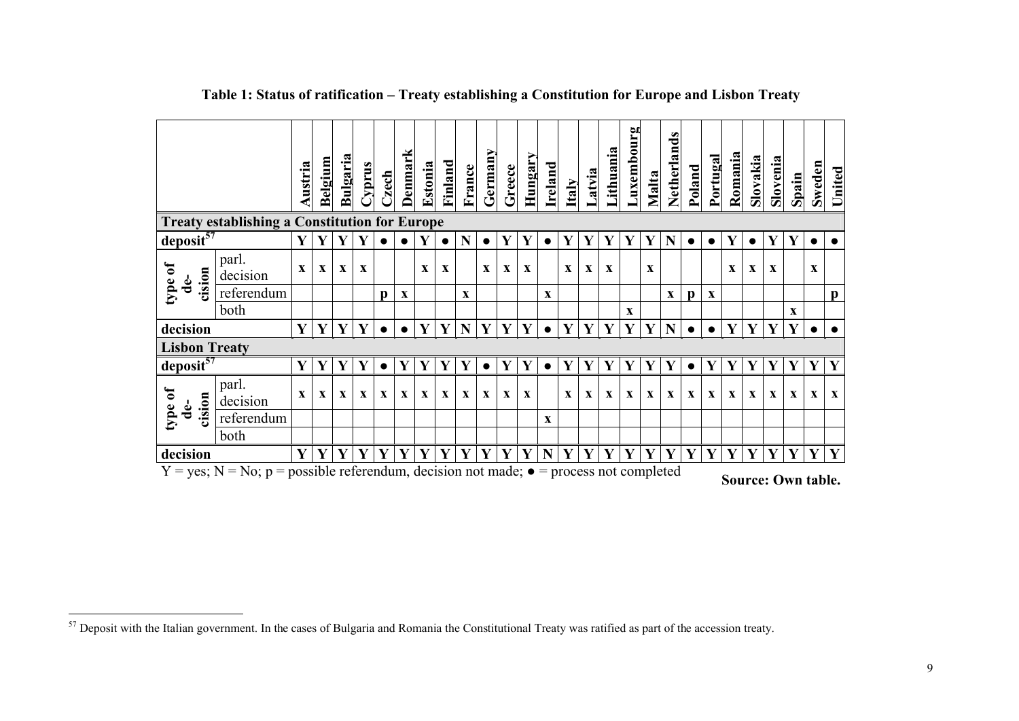|                                                                                                                                                                                                                                            |                                                      | <b>Austria</b> | Belgium      | <u>Bulgaria</u> | <b>ShudZ</b> | Czech        | Denmark      | Estonia      | Finland      | France       | Germany      | Greece       | Hungary      | Ireland      | <b>Italy</b> | Latvia       | Lithuania    | uxembourg    | Malta        | Netherlands  | Poland       | Portugal    | Romania      | Slovakia     | Slovenia     | Spain        | Sweden       | United       |
|--------------------------------------------------------------------------------------------------------------------------------------------------------------------------------------------------------------------------------------------|------------------------------------------------------|----------------|--------------|-----------------|--------------|--------------|--------------|--------------|--------------|--------------|--------------|--------------|--------------|--------------|--------------|--------------|--------------|--------------|--------------|--------------|--------------|-------------|--------------|--------------|--------------|--------------|--------------|--------------|
|                                                                                                                                                                                                                                            | <b>Treaty establishing a Constitution for Europe</b> |                |              | Y               |              |              |              | Y            |              | N            |              | Y            |              |              | Y            | Y            |              |              |              | N            |              |             | Y            |              | Y            | Y            |              |              |
| deposit <sup>57</sup>                                                                                                                                                                                                                      |                                                      |                |              |                 | Y            |              |              |              |              |              |              |              | Y            | $\bullet$    |              |              | Y            | Y            | Y            |              | $\bullet$    | $\bullet$   |              |              |              |              | $\bullet$    |              |
| type of<br>cision<br>de-                                                                                                                                                                                                                   | parl.<br>decision                                    | $\mathbf{x}$   | $\mathbf{x}$ | $\mathbf X$     | $\mathbf{x}$ |              |              | $\mathbf{x}$ | $\mathbf X$  |              | $\mathbf x$  | $\mathbf{x}$ | $\mathbf{x}$ |              | $\mathbf{x}$ | $\mathbf{x}$ | $\mathbf{x}$ |              | $\mathbf x$  |              |              |             | $\mathbf{x}$ | $\mathbf{x}$ | $\mathbf{x}$ |              | $\mathbf{x}$ |              |
|                                                                                                                                                                                                                                            | referendum                                           |                |              |                 |              | $\mathbf{p}$ | $\mathbf X$  |              |              | $\mathbf{x}$ |              |              |              | $\mathbf X$  |              |              |              |              |              | $\mathbf x$  | $\mathbf{p}$ | X           |              |              |              |              |              | $\mathbf{p}$ |
|                                                                                                                                                                                                                                            | both                                                 |                |              |                 |              |              |              |              |              |              |              |              |              |              |              |              |              | X            |              |              |              |             |              |              |              | $\mathbf{X}$ |              |              |
| decision                                                                                                                                                                                                                                   |                                                      | $\mathbf{Y}$   | Y            | Y               | $\mathbf{Y}$ | $\bullet$    | $\bullet$    | Y            | $\mathbf{Y}$ | $\mathbf N$  | $\mathbf{Y}$ | Y            | Y            | $\bullet$    | Y            | $\mathbf{Y}$ | Y            | Y            | Y            | $\mathbf N$  | $\bullet$    | $\bullet$   | Y            | Y            | $\mathbf{Y}$ | Y            |              |              |
| <b>Lisbon Treaty</b>                                                                                                                                                                                                                       |                                                      |                |              |                 |              |              |              |              |              |              |              |              |              |              |              |              |              |              |              |              |              |             |              |              |              |              |              |              |
| degree                                                                                                                                                                                                                                     |                                                      | Y              | Y            | Y               | Y            | $\bullet$    | Y            | Y            | Y            | Y            | $\bullet$    | Y            | Y            | $\bullet$    | Y            | Y            | Y            | Y            | Y            | $\mathbf{Y}$ | $\bullet$    | Y           | $\mathbf{Y}$ | Y            | Y            | Y            | Y            | Y            |
| type of<br>de-<br>cision                                                                                                                                                                                                                   | parl.<br>decision                                    | $\mathbf{x}$   | $\mathbf{x}$ | $\mathbf{x}$    | $\mathbf{X}$ | X            | $\mathbf{x}$ | $\mathbf X$  | $\mathbf{X}$ | $\mathbf{x}$ | $\mathbf{x}$ | $\mathbf{X}$ | $\mathbf x$  |              | $\mathbf{x}$ | $\mathbf{x}$ | $\mathbf{x}$ | $\mathbf{X}$ | $\mathbf{x}$ | $\mathbf x$  | $\mathbf{X}$ | $\mathbf X$ | $\mathbf{X}$ | $\mathbf x$  | $\mathbf{x}$ | $\mathbf{x}$ | $\mathbf X$  | $\mathbf{x}$ |
|                                                                                                                                                                                                                                            | referendum                                           |                |              |                 |              |              |              |              |              |              |              |              |              | $\mathbf{X}$ |              |              |              |              |              |              |              |             |              |              |              |              |              |              |
|                                                                                                                                                                                                                                            | both                                                 |                |              |                 |              |              |              |              |              |              |              |              |              |              |              |              |              |              |              |              |              |             |              |              |              |              |              |              |
| decision<br>Y<br>$\mathbf{Y}$<br>$\mathbf{Y}$<br>$\mathbf{Y}$<br>$\mathbf{Y}$<br>Y<br>Y<br>Y<br>Y <sup>2</sup><br>Y<br>$\mathbf{Y}$<br>N<br>Y<br>$\mathbf{Y}$<br>Y<br>Y<br>Y<br>$\mathbf{Y}$<br>Y<br>Y<br>Y<br>$\mathbf{Y}$<br>Y<br>Y<br>Y |                                                      |                |              |                 |              | Y Y          |              |              |              |              |              |              |              |              |              |              |              |              |              |              |              |             |              |              |              |              |              |              |
| $Y = yes$ ; N = No; p = possible referendum, decision not made; $\bullet$ = process not completed<br><b>Source: Own table.</b>                                                                                                             |                                                      |                |              |                 |              |              |              |              |              |              |              |              |              |              |              |              |              |              |              |              |              |             |              |              |              |              |              |              |

### **Table 1: Status of ratification – Treaty establishing a Constitution for Europe and Lisbon Treaty**

 $\overline{a}$ 

 $57$  Deposit with the Italian government. In the cases of Bulgaria and Romania the Constitutional Treaty was ratified as part of the accession treaty.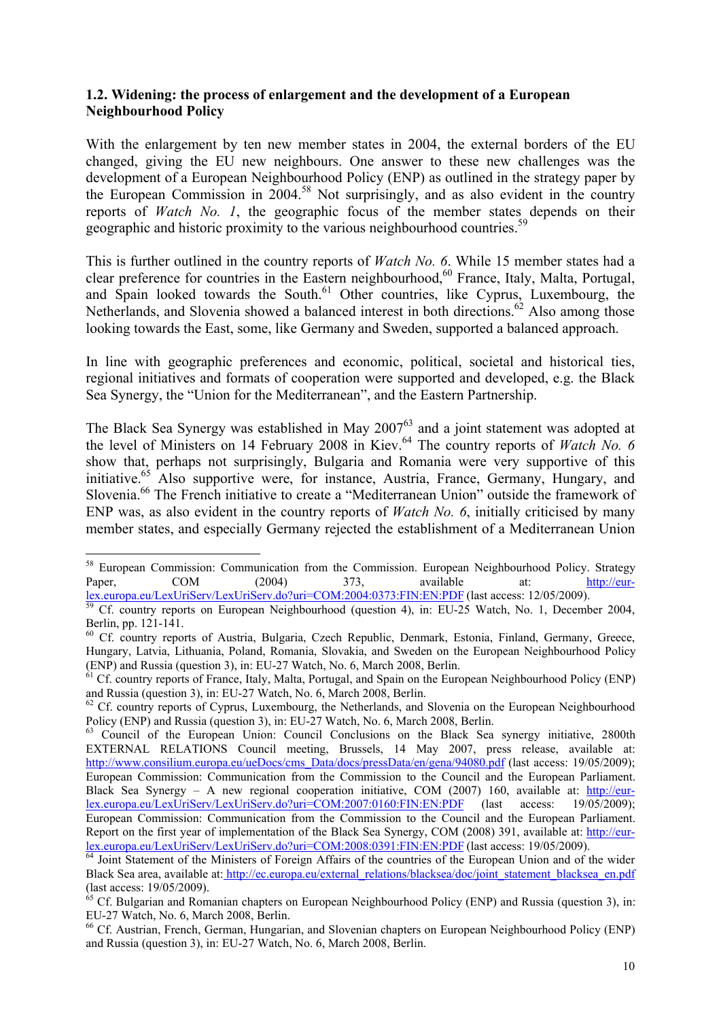#### **1.2. Widening: the process of enlargement and the development of a European Neighbourhood Policy**

With the enlargement by ten new member states in 2004, the external borders of the EU changed, giving the EU new neighbours. One answer to these new challenges was the development of a European Neighbourhood Policy (ENP) as outlined in the strategy paper by the European Commission in  $2004$ <sup>58</sup> Not surprisingly, and as also evident in the country reports of *Watch No. 1*, the geographic focus of the member states depends on their geographic and historic proximity to the various neighbourhood countries.<sup>59</sup>

This is further outlined in the country reports of *Watch No. 6*. While 15 member states had a clear preference for countries in the Eastern neighbourhood,<sup>60</sup> France, Italy, Malta, Portugal, and Spain looked towards the South.<sup>61</sup> Other countries, like Cyprus, Luxembourg, the Netherlands, and Slovenia showed a balanced interest in both directions.<sup>62</sup> Also among those looking towards the East, some, like Germany and Sweden, supported a balanced approach.

In line with geographic preferences and economic, political, societal and historical ties, regional initiatives and formats of cooperation were supported and developed, e.g. the Black Sea Synergy, the "Union for the Mediterranean", and the Eastern Partnership.

The Black Sea Synergy was established in May  $2007^{63}$  and a joint statement was adopted at the level of Ministers on 14 February 2008 in Kiev.<sup>64</sup> The country reports of Watch No. 6 show that, perhaps not surprisingly, Bulgaria and Romania were very supportive of this initiative.<sup>65</sup> Also supportive were, for instance, Austria, France, Germany, Hungary, and Slovenia.66 The French initiative to create a "Mediterranean Union" outside the framework of ENP was, as also evident in the country reports of *Watch No. 6*, initially criticised by many member states, and especially Germany rejected the establishment of a Mediterranean Union

<sup>&</sup>lt;sup>58</sup> European Commission: Communication from the Commission. European Neighbourhood Policy. Strategy Paper, COM (2004) 373, available at: http://eur-

lex.europa.eu/LexUriServ/LexUriServ.do?uri=COM:2004:0373:FIN:EN:PDF (last access: 12/05/2009).<br><sup>59</sup> Cf. country reports on European Neighbourhood (question 4), in: EU-25 Watch, No. 1, December 2004, Berlin, pp. 121-141.

<sup>&</sup>lt;sup>60</sup> Cf. country reports of Austria, Bulgaria, Czech Republic, Denmark, Estonia, Finland, Germany, Greece, Hungary, Latvia, Lithuania, Poland, Romania, Slovakia, and Sweden on the European Neighbourhood Policy (ENP) and Russia (question 3), in: EU-27 Watch, No. 6, March 2008, Berlin.

 $\overline{1}$  Cf. country reports of France, Italy, Malta, Portugal, and Spain on the European Neighbourhood Policy (ENP) and Russia (question 3), in: EU-27 Watch, No. 6, March 2008, Berlin.

<sup>&</sup>lt;sup>62</sup> Cf. country reports of Cyprus, Luxembourg, the Netherlands, and Slovenia on the European Neighbourhood Policy (ENP) and Russia (question 3), in: EU-27 Watch, No. 6, March 2008, Berlin.

<sup>&</sup>lt;sup>63</sup> Council of the European Union: Council Conclusions on the Black Sea synergy initiative, 2800th EXTERNAL RELATIONS Council meeting, Brussels, 14 May 2007, press release, available at: http://www.consilium.europa.eu/ueDocs/cms\_Data/docs/pressData/en/gena/94080.pdf (last access: 19/05/2009); European Commission: Communication from the Commission to the Council and the European Parliament. Black Sea Synergy – A new regional cooperation initiative, COM (2007) 160, available at: http://eur-<br>lex.europa.eu/LexUriServ/LexUriServ.do?uri=COM:2007:0160:FIN:EN:PDF (last access: 19/05/2009): lex.europa.eu/LexUriServ/LexUriServ.do?uri=COM:2007:0160:FIN:EN:PDF (last access: 19/05/2009); European Commission: Communication from the Commission to the Council and the European Parliament. Report on the first year of implementation of the Black Sea Synergy, COM (2008) 391, available at: http://eurlex.europa.eu/LexUriServ/LexUriServ.do?uri=COM:2008:0391:FIN:EN:PDF (last access: 19/05/2009).<br><sup>64</sup> Joint Statement of the Ministers of Foreign Affairs of the countries of the European Union and of the wider

Black Sea area, available at: http://ec.europa.eu/external\_relations/blacksea/doc/joint\_statement\_blacksea\_en.pdf (last access: 19/05/2009).

 $65$  Cf. Bulgarian and Romanian chapters on European Neighbourhood Policy (ENP) and Russia (question 3), in: EU-27 Watch, No. 6, March 2008, Berlin.

<span id="page-10-0"></span><sup>66</sup> Cf. Austrian, French, German, Hungarian, and Slovenian chapters on European Neighbourhood Policy (ENP) and Russia (question 3), in: EU-27 Watch, No. 6, March 2008, Berlin.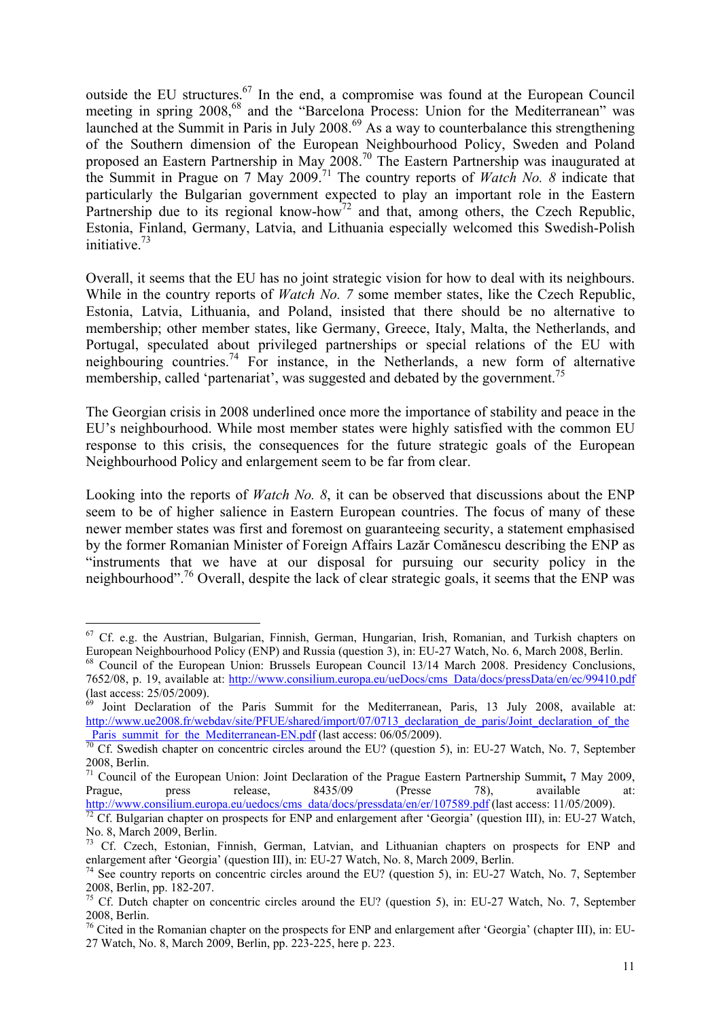outside the EU structures.<sup>67</sup> In the end, a compromise was found at the European Council meeting in spring 2008,<sup>68</sup> and the "Barcelona Process: Union for the Mediterranean" was launched at the Summit in Paris in July 2008.<sup>69</sup> As a way to counterbalance this strengthening of the Southern dimension of the European Neighbourhood Policy, Sweden and Poland proposed an Eastern Partnership in May 2008.<sup>70</sup> The Eastern Partnership was inaugurated at the Summit in Prague on 7 May 2009.71 The country reports of *Watch No. 8* indicate that particularly the Bulgarian government expected to play an important role in the Eastern Partnership due to its regional know-how<sup>72</sup> and that, among others, the Czech Republic, Estonia, Finland, Germany, Latvia, and Lithuania especially welcomed this Swedish-Polish initiative. $73$ 

Overall, it seems that the EU has no joint strategic vision for how to deal with its neighbours. While in the country reports of *Watch No.* 7 some member states, like the Czech Republic, Estonia, Latvia, Lithuania, and Poland, insisted that there should be no alternative to membership; other member states, like Germany, Greece, Italy, Malta, the Netherlands, and Portugal, speculated about privileged partnerships or special relations of the EU with neighbouring countries.74 For instance, in the Netherlands, a new form of alternative membership, called 'partenariat', was suggested and debated by the government.<sup>75</sup>

The Georgian crisis in 2008 underlined once more the importance of stability and peace in the EU's neighbourhood. While most member states were highly satisfied with the common EU response to this crisis, the consequences for the future strategic goals of the European Neighbourhood Policy and enlargement seem to be far from clear.

Looking into the reports of *Watch No. 8*, it can be observed that discussions about the ENP seem to be of higher salience in Eastern European countries. The focus of many of these newer member states was first and foremost on guaranteeing security, a statement emphasised by the former Romanian Minister of Foreign Affairs Lazăr Comănescu describing the ENP as "instruments that we have at our disposal for pursuing our security policy in the neighbourhood".76 Overall, despite the lack of clear strategic goals, it seems that the ENP was

<u>.</u>

 $67$  Cf. e.g. the Austrian, Bulgarian, Finnish, German, Hungarian, Irish, Romanian, and Turkish chapters on European Neighbourhood Policy (ENP) and Russia (question 3), in: EU-27 Watch, No. 6, March 2008, Berlin.

<sup>68</sup> Council of the European Union: Brussels European Council 13/14 March 2008. Presidency Conclusions, 7652/08, p. 19, available at: http://www.consilium.europa.eu/ueDocs/cms\_Data/docs/pressData/en/ec/99410.pdf (last access: 25/05/2009).

 $69$  Joint Declaration of the Paris Summit for the Mediterranean, Paris, 13 July 2008, available at: http://www.ue2008.fr/webdav/site/PFUE/shared/import/07/0713\_declaration\_de\_paris/Joint\_declaration\_of\_the<br>Paris summit for the Mediterranean-EN.pdf (last access: 06/05/2009).

 $\frac{p_0}{p_0}$  Cf. Swedish chapter on concentric circles around the EU? (question 5), in: EU-27 Watch, No. 7, September 2008, Berlin.

<sup>&</sup>lt;sup>71</sup> Council of the European Union: Joint Declaration of the Prague Eastern Partnership Summit, 7 May 2009, Prague, press release, 8435/09 (Presse 78), available at: Prague, press release, 8435/09 (Presse 78), available at:

http://www.consilium.europa.eu/uedocs/cms\_data/docs/pressdata/en/er/107589.pdf (last access: 11/05/2009).<br><sup>72</sup> Cf. Bulgarian chapter on prospects for ENP and enlargement after 'Georgia' (question III), in: EU-27 Watch, No. 8, March 2009, Berlin.

<sup>&</sup>lt;sup>73</sup> Cf. Czech, Estonian, Finnish, German, Latvian, and Lithuanian chapters on prospects for ENP and enlargement after 'Georgia' (question III), in: EU-27 Watch, No. 8, March 2009, Berlin.<br><sup>74</sup> See country reports on concentric circles around the EU? (question 5), in: EU-27 Watch, No. 7, September

<sup>2008,</sup> Berlin, pp. 182-207.

<sup>&</sup>lt;sup>75</sup> Cf. Dutch chapter on concentric circles around the EU? (question 5), in: EU-27 Watch, No. 7, September 2008, Berlin.

<sup>&</sup>lt;sup>76</sup> Cited in the Romanian chapter on the prospects for ENP and enlargement after 'Georgia' (chapter III), in: EU-27 Watch, No. 8, March 2009, Berlin, pp. 223-225, here p. 223.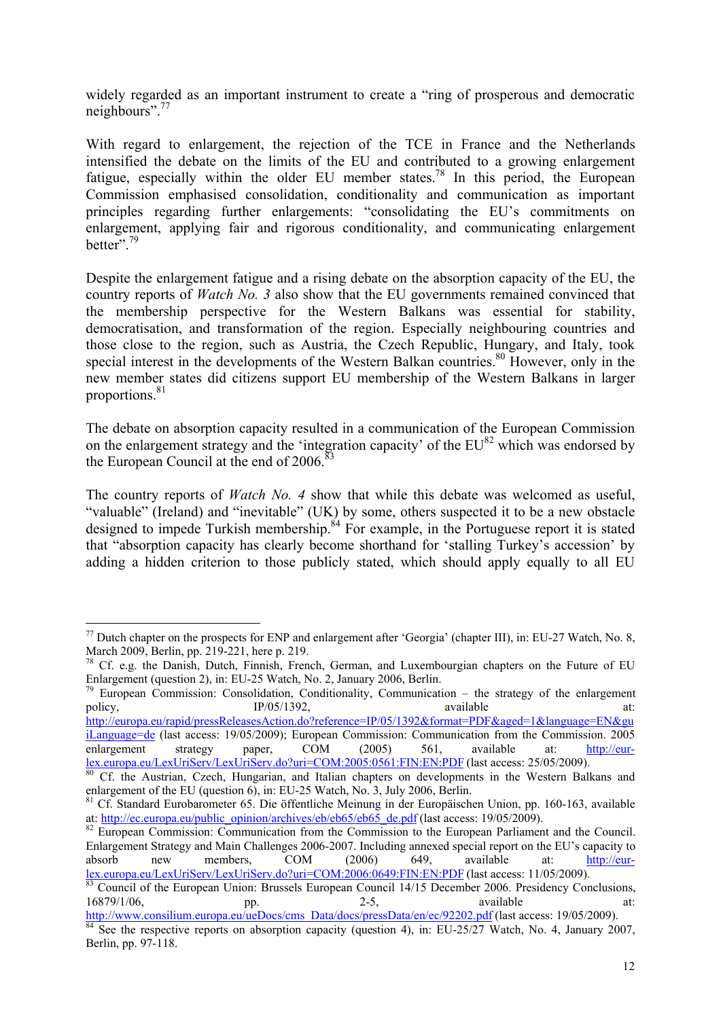widely regarded as an important instrument to create a "ring of prosperous and democratic neighbours".<sup>77</sup>

With regard to enlargement, the rejection of the TCE in France and the Netherlands intensified the debate on the limits of the EU and contributed to a growing enlargement fatigue, especially within the older EU member states.<sup>78</sup> In this period, the European Commission emphasised consolidation, conditionality and communication as important principles regarding further enlargements: "consolidating the EU's commitments on enlargement, applying fair and rigorous conditionality, and communicating enlargement better".79

Despite the enlargement fatigue and a rising debate on the absorption capacity of the EU, the country reports of *Watch No. 3* also show that the EU governments remained convinced that the membership perspective for the Western Balkans was essential for stability, democratisation, and transformation of the region. Especially neighbouring countries and those close to the region, such as Austria, the Czech Republic, Hungary, and Italy, took special interest in the developments of the Western Balkan countries.<sup>80</sup> However, only in the new member states did citizens support EU membership of the Western Balkans in larger proportions.<sup>81</sup>

The debate on absorption capacity resulted in a communication of the European Commission on the enlargement strategy and the 'integration capacity' of the  $EU^{82}$  which was endorsed by the European Council at the end of  $2006$ .<sup>83</sup>

The country reports of *Watch No. 4* show that while this debate was welcomed as useful, "valuable" (Ireland) and "inevitable" (UK) by some, others suspected it to be a new obstacle designed to impede Turkish membership.<sup>84</sup> For example, in the Portuguese report it is stated that "absorption capacity has clearly become shorthand for 'stalling Turkey's accession' by adding a hidden criterion to those publicly stated, which should apply equally to all EU

<u>.</u>

 $79$  European Commission: Consolidation, Conditionality, Communication – the strategy of the enlargement policy, **IP/05/1392**, **available** at: [http://europa.eu/rapid/pressReleasesAction.do?reference=IP/05/1392&format=PDF&aged=1&language=EN&gu](http://europa.eu/rapid/pressReleasesAction.do?reference=IP/05/1392&format=PDF&aged=1&language=EN&guiLanguage=de)

iLanguage=de (last access: 19/05/2009); European Commission: Communication from the Commission. 2005 enlargement strategy paper, COM (2005) 561, available at: http://eur-<br>lex.europa.eu/LexUriServ/LexUriServ.do?uri=COM:2005:0561:FIN:EN:PDF (last access: 25/05/2009).

Enlargement Strategy and Main Challenges 2006-2007. Including annexed special report on the EU's capacity to absorb new members, COM (2006) 649, available at: http://eurlex.europa.eu/LexUriServ/LexUriServ.do?uri=COM:2006:0649:FIN:EN:PDF (last access: 11/05/2009).<br><sup>83</sup> Council of the European Union: Brussels European Council 14/15 December 2006. Presidency Conclusions,

<sup>&</sup>lt;sup>77</sup> Dutch chapter on the prospects for ENP and enlargement after 'Georgia' (chapter III), in: EU-27 Watch, No. 8, March 2009, Berlin, pp. 219-221, here p. 219.

<sup>&</sup>lt;sup>78</sup> Cf. e.g. the Danish, Dutch, Finnish, French, German, and Luxembourgian chapters on the Future of EU Enlargement (question 2), in: EU-25 Watch, No. 2, January 2006, Berlin.

Cf. the Austrian. Czech. Hungarian, and Italian chapters on developments in the Western Balkans and enlargement of the EU (question 6), in: EU-25 Watch, No. 3, July 2006, Berlin.

<sup>&</sup>lt;sup>81</sup> Cf. Standard Eurobarometer 65. Die öffentliche Meinung in der Europäischen Union, pp. 160-163, available at: http://ec.europa.eu/public\_opinion/archives/eb/eb65/eb65\_de.pdf (last access: 19/05/2009).<br><sup>82</sup> European Commission: Communication from the Commission to the European Parliament and the Council.

<sup>16879/1/06,</sup> pp. 2-5, available at:

http://www.consilium.europa.eu/ueDocs/cms\_Data/docs/pressData/en/ec/92202.pdf (last access: 19/05/2009).<br><sup>84</sup> See the respective reports on absorption capacity (question 4), in: EU-25/27 Watch, No. 4, January 2007, Berlin, pp. 97-118.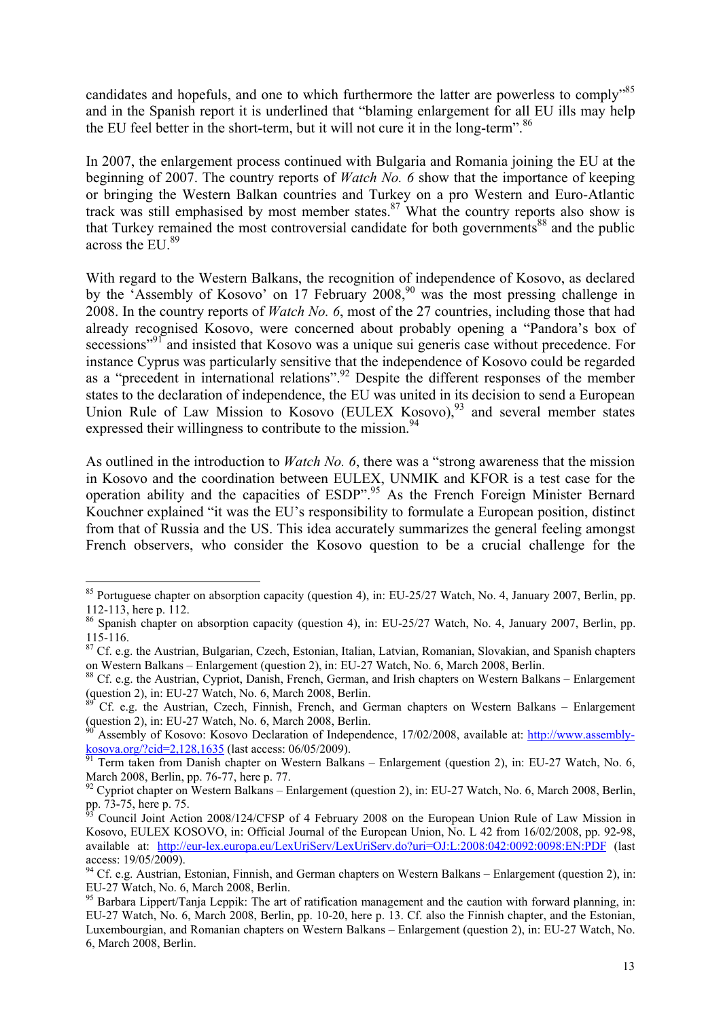candidates and hopefuls, and one to which furthermore the latter are powerless to comply<sup>585</sup> and in the Spanish report it is underlined that "blaming enlargement for all EU ills may help the EU feel better in the short-term, but it will not cure it in the long-term".  $86$ 

In 2007, the enlargement process continued with Bulgaria and Romania joining the EU at the beginning of 2007. The country reports of *Watch No. 6* show that the importance of keeping or bringing the Western Balkan countries and Turkey on a pro Western and Euro-Atlantic track was still emphasised by most member states.<sup>87</sup> What the country reports also show is that Turkey remained the most controversial candidate for both governments<sup>88</sup> and the public across the EU.<sup>89</sup>

With regard to the Western Balkans, the recognition of independence of Kosovo, as declared by the 'Assembly of Kosovo' on 17 February  $2008<sup>90</sup>$  was the most pressing challenge in 2008. In the country reports of *Watch No. 6*, most of the 27 countries, including those that had already recognised Kosovo, were concerned about probably opening a "Pandora's box of secessions<sup>"91</sup> and insisted that Kosovo was a unique sui generis case without precedence. For instance Cyprus was particularly sensitive that the independence of Kosovo could be regarded as a "precedent in international relations".92 Despite the different responses of the member states to the declaration of independence, the EU was united in its decision to send a European Union Rule of Law Mission to Kosovo (EULEX Kosovo),<sup>93</sup> and several member states expressed their willingness to contribute to the mission.<sup>94</sup>

As outlined in the introduction to *Watch No. 6*, there was a "strong awareness that the mission in Kosovo and the coordination between EULEX, UNMIK and KFOR is a test case for the operation ability and the capacities of ESDP".<sup>95</sup> As the French Foreign Minister Bernard Kouchner explained "it was the EU's responsibility to formulate a European position, distinct from that of Russia and the US. This idea accurately summarizes the general feeling amongst French observers, who consider the Kosovo question to be a crucial challenge for the

<u>.</u>

<sup>&</sup>lt;sup>85</sup> Portuguese chapter on absorption capacity (question 4), in: EU-25/27 Watch, No. 4, January 2007, Berlin, pp. 112-113, here p. 112.

<sup>&</sup>lt;sup>86</sup> Spanish chapter on absorption capacity (question 4), in: EU-25/27 Watch, No. 4, January 2007, Berlin, pp. 115-116.

<sup>&</sup>lt;sup>87</sup> Cf. e.g. the Austrian, Bulgarian, Czech, Estonian, Italian, Latvian, Romanian, Slovakian, and Spanish chapters on Western Balkans – Enlargement (question 2), in: EU-27 Watch, No. 6, March 2008, Berlin.<br><sup>88</sup> Cf. e.g. the Austrian, Cypriot, Danish, French, German, and Irish chapters on Western Balkans – Enlargement

<sup>(</sup>question 2), in: EU-27 Watch, No. 6, March 2008, Berlin.

<sup>89</sup> Cf. e.g. the Austrian, Czech, Finnish, French, and German chapters on Western Balkans – Enlargement (question 2), in: EU-27 Watch, No. 6, March 2008, Berlin.

<sup>&</sup>lt;sup>90</sup> Assembly of Kosovo: Kosovo Declaration of Independence, 17/02/2008, available at:  $\frac{http://www.assembly-  
kosova.org/cid=2,128,1635}$  (last access: 06/05/2009).

Term taken from Danish chapter on Western Balkans – Enlargement (question 2), in: EU-27 Watch, No. 6, March 2008, Berlin, pp. 76-77, here p. 77.

 $92$  Cypriot chapter on Western Balkans – Enlargement (question 2), in: EU-27 Watch, No. 6, March 2008, Berlin, pp. 73-75, here p. 75.

<sup>93</sup> Council Joint Action 2008/124/CFSP of 4 February 2008 on the European Union Rule of Law Mission in Kosovo, EULEX KOSOVO, in: Official Journal of the European Union, No. L 42 from 16/02/2008, pp. 92-98, available at: http://eur-lex.europa.eu/LexUriServ/LexUriServ.do?uri=OJ:L:2008:042:0092:0098:EN:PDF (last access: 19/05/2009).

<sup>&</sup>lt;sup>94</sup> Cf. e.g. Austrian, Estonian, Finnish, and German chapters on Western Balkans – Enlargement (question 2), in: EU-27 Watch, No. 6, March 2008, Berlin.

<sup>&</sup>lt;sup>95</sup> Barbara Lippert/Tanja Leppik: The art of ratification management and the caution with forward planning, in: EU-27 Watch, No. 6, March 2008, Berlin, pp. 10-20, here p. 13. Cf. also the Finnish chapter, and the Estonian, Luxembourgian, and Romanian chapters on Western Balkans – Enlargement (question 2), in: EU-27 Watch, No. 6, March 2008, Berlin.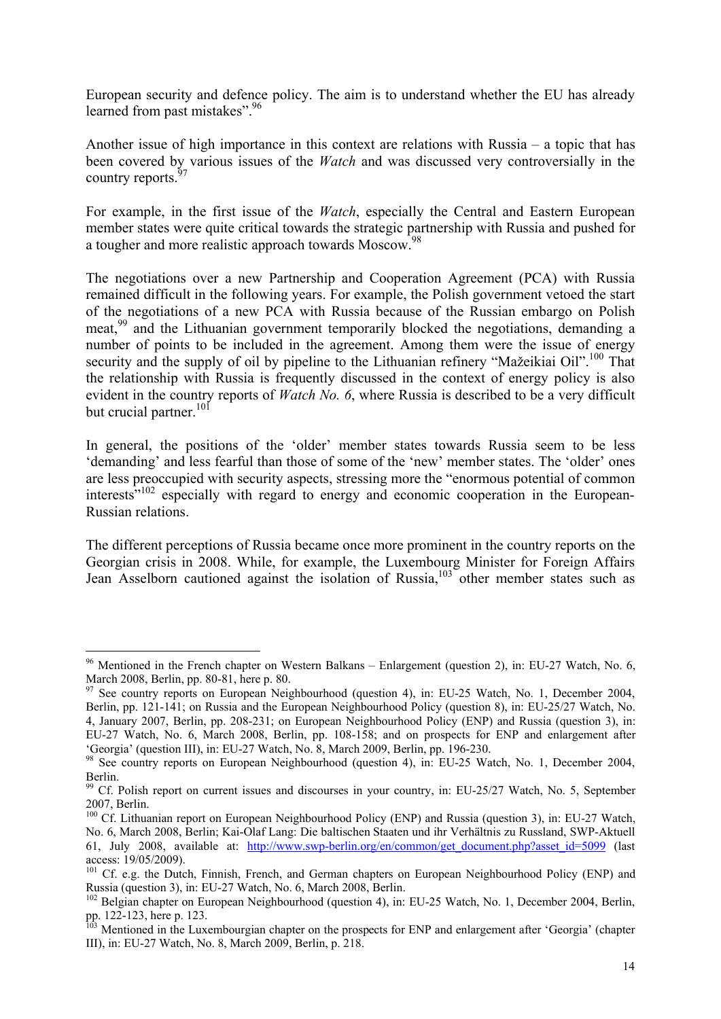European security and defence policy. The aim is to understand whether the EU has already learned from past mistakes".<sup>96</sup>

Another issue of high importance in this context are relations with Russia – a topic that has been covered by various issues of the *Watch* and was discussed very controversially in the country reports.<sup>9</sup>

For example, in the first issue of the *Watch*, especially the Central and Eastern European member states were quite critical towards the strategic partnership with Russia and pushed for a tougher and more realistic approach towards Moscow.98

The negotiations over a new Partnership and Cooperation Agreement (PCA) with Russia remained difficult in the following years. For example, the Polish government vetoed the start of the negotiations of a new PCA with Russia because of the Russian embargo on Polish meat,<sup>99</sup> and the Lithuanian government temporarily blocked the negotiations, demanding a number of points to be included in the agreement. Among them were the issue of energy security and the supply of oil by pipeline to the Lithuanian refinery "Mažeikiai Oil".<sup>100</sup> That the relationship with Russia is frequently discussed in the context of energy policy is also evident in the country reports of *Watch No. 6*, where Russia is described to be a very difficult but crucial partner.<sup>101</sup>

In general, the positions of the 'older' member states towards Russia seem to be less 'demanding' and less fearful than those of some of the 'new' member states. The 'older' ones are less preoccupied with security aspects, stressing more the "enormous potential of common interests<sup>"102</sup> especially with regard to energy and economic cooperation in the European-Russian relations.

The different perceptions of Russia became once more prominent in the country reports on the Georgian crisis in 2008. While, for example, the Luxembourg Minister for Foreign Affairs Jean Asselborn cautioned against the isolation of Russia,<sup>103</sup> other member states such as

<sup>&</sup>lt;sup>96</sup> Mentioned in the French chapter on Western Balkans – Enlargement (question 2), in: EU-27 Watch, No. 6, March 2008, Berlin, pp. 80-81, here p. 80.

 $97$  See country reports on European Neighbourhood (question 4), in: EU-25 Watch, No. 1, December 2004, Berlin, pp. 121-141; on Russia and the European Neighbourhood Policy (question 8), in: EU-25/27 Watch, No. 4, January 2007, Berlin, pp. 208-231; on European Neighbourhood Policy (ENP) and Russia (question 3), in: EU-27 Watch, No. 6, March 2008, Berlin, pp. 108-158; and on prospects for ENP and enlargement after 'Georgia' (question III), in: EU-27 Watch, No. 8, March 2009, Berlin, pp. 196-230.

<sup>&</sup>lt;sup>98</sup> See country reports on European Neighbourhood (question 4), in: EU-25 Watch, No. 1, December 2004, Berlin.

<sup>&</sup>lt;sup>99</sup> Cf. Polish report on current issues and discourses in your country, in: EU-25/27 Watch, No. 5, September 2007, Berlin.

<sup>&</sup>lt;sup>100</sup> Cf. Lithuanian report on European Neighbourhood Policy (ENP) and Russia (question 3), in: EU-27 Watch, No. 6, March 2008, Berlin; Kai-Olaf Lang: Die baltischen Staaten und ihr Verhältnis zu Russland, SWP-Aktuell 61, July 2008, available at: http://www.swp-berlin.org/en/common/get\_document.php?asset\_id=5099 (last access: 19/05/2009).

<sup>&</sup>lt;sup>101</sup> Cf. e.g. the Dutch, Finnish, French, and German chapters on European Neighbourhood Policy (ENP) and Russia (question 3), in: EU-27 Watch, No. 6, March 2008, Berlin.

<sup>&</sup>lt;sup>102</sup> Belgian chapter on European Neighbourhood (question 4), in: EU-25 Watch, No. 1, December 2004, Berlin, pp. 122-123, here p. 123.

<sup>&</sup>lt;sup>103</sup> Mentioned in the Luxembourgian chapter on the prospects for ENP and enlargement after 'Georgia' (chapter III), in: EU-27 Watch, No. 8, March 2009, Berlin, p. 218.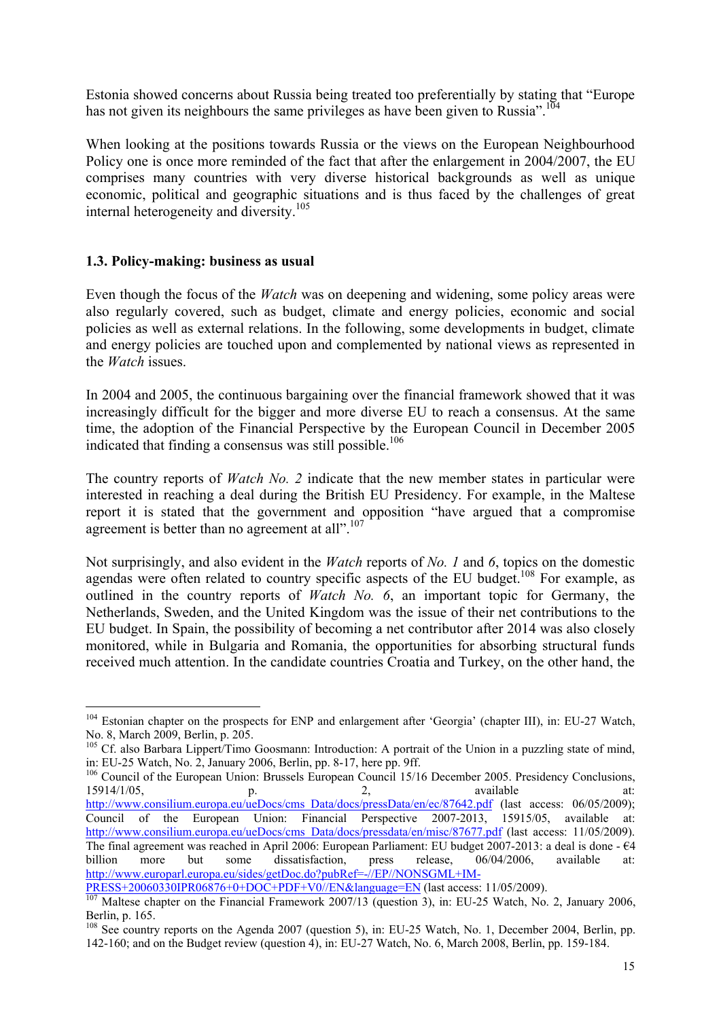Estonia showed concerns about Russia being treated too preferentially by stating that "Europe has not given its neighbours the same privileges as have been given to Russia".<sup>104</sup>

When looking at the positions towards Russia or the views on the European Neighbourhood Policy one is once more reminded of the fact that after the enlargement in 2004/2007, the EU comprises many countries with very diverse historical backgrounds as well as unique economic, political and geographic situations and is thus faced by the challenges of great internal heterogeneity and diversity.105

#### **1.3. Policy-making: business as usual**

<u>.</u>

Even though the focus of the *Watch* was on deepening and widening, some policy areas were also regularly covered, such as budget, climate and energy policies, economic and social policies as well as external relations. In the following, some developments in budget, climate and energy policies are touched upon and complemented by national views as represented in the *Watch* issues.

In 2004 and 2005, the continuous bargaining over the financial framework showed that it was increasingly difficult for the bigger and more diverse EU to reach a consensus. At the same time, the adoption of the Financial Perspective by the European Council in December 2005 indicated that finding a consensus was still possible.<sup>106</sup>

The country reports of *Watch No. 2* indicate that the new member states in particular were interested in reaching a deal during the British EU Presidency. For example, in the Maltese report it is stated that the government and opposition "have argued that a compromise agreement is better than no agreement at all".<sup>107</sup>

Not surprisingly, and also evident in the *Watch* reports of *No. 1* and *6*, topics on the domestic agendas were often related to country specific aspects of the EU budget.<sup>108</sup> For example, as outlined in the country reports of *Watch No. 6*, an important topic for Germany, the Netherlands, Sweden, and the United Kingdom was the issue of their net contributions to the EU budget. In Spain, the possibility of becoming a net contributor after 2014 was also closely monitored, while in Bulgaria and Romania, the opportunities for absorbing structural funds received much attention. In the candidate countries Croatia and Turkey, on the other hand, the

<sup>&</sup>lt;sup>104</sup> Estonian chapter on the prospects for ENP and enlargement after 'Georgia' (chapter III), in: EU-27 Watch, No. 8, March 2009, Berlin, p. 205.

<sup>&</sup>lt;sup>105</sup> Cf. also Barbara Lippert/Timo Goosmann: Introduction: A portrait of the Union in a puzzling state of mind, in: EU-25 Watch, No. 2, January 2006, Berlin, pp. 8-17, here pp. 9ff.

<sup>&</sup>lt;sup>106</sup> Council of the European Union: Brussels European Council 15/16 December 2005. Presidency Conclusions, 15914/1/05, **p. 2**, **available** at: http://www.consilium.europa.eu/ueDocs/cms\_Data/docs/pressData/en/ec/87642.pdf (last access: 06/05/2009); Council of the European Union: Financial Perspective 2007-2013, 15915/05, available at: http://www.consilium.europa.eu/ueDocs/cms\_Data/docs/pressdata/en/misc/87677.pdf (last access: 11/05/2009). The final agreement was reached in April 2006: European Parliament: EU budget 2007-2013: a deal is done - €4 billion more but some dissatisfaction, press release, 06/04/2006, available at: http://www.europarl.europa.eu/sides/getDoc.do?pubRef=-//EP//NONSGML+IM-

PRESS+20060330IPR06876+0+DOC+PDF+V0//EN&language=EN (last access: 11/05/2009).<br><sup>107</sup> Maltese chapter on the Financial Framework 2007/13 (question 3), in: EU-25 Watch, No. 2, January 2006, Berlin, p. 165.

<span id="page-15-0"></span><sup>&</sup>lt;sup>108</sup> See country reports on the Agenda 2007 (question 5), in: EU-25 Watch, No. 1, December 2004, Berlin, pp. 142-160; and on the Budget review (question 4), in: EU-27 Watch, No. 6, March 2008, Berlin, pp. 159-184.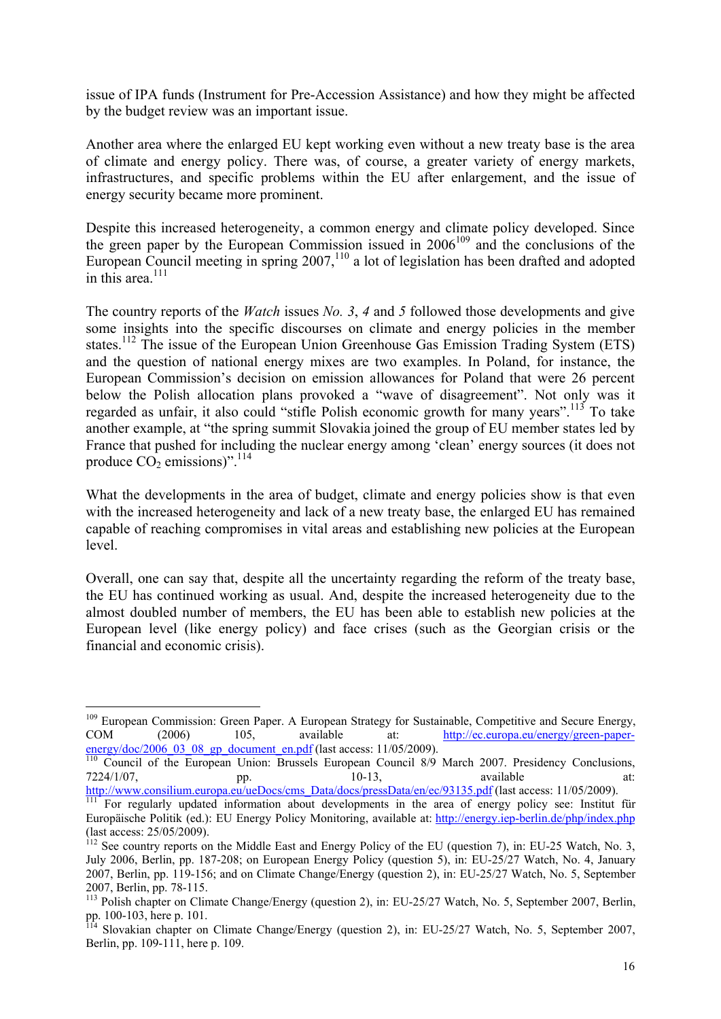issue of IPA funds (Instrument for Pre-Accession Assistance) and how they might be affected by the budget review was an important issue.

Another area where the enlarged EU kept working even without a new treaty base is the area of climate and energy policy. There was, of course, a greater variety of energy markets, infrastructures, and specific problems within the EU after enlargement, and the issue of energy security became more prominent.

Despite this increased heterogeneity, a common energy and climate policy developed. Since the green paper by the European Commission issued in  $2006^{109}$  and the conclusions of the European Council meeting in spring 2007,<sup>110</sup> a lot of legislation has been drafted and adopted in this area.<sup>111</sup>

The country reports of the *Watch* issues *No. 3*, *4* and *5* followed those developments and give some insights into the specific discourses on climate and energy policies in the member states.<sup>112</sup> The issue of the European Union Greenhouse Gas Emission Trading System (ETS) and the question of national energy mixes are two examples. In Poland, for instance, the European Commission's decision on emission allowances for Poland that were 26 percent below the Polish allocation plans provoked a "wave of disagreement". Not only was it regarded as unfair, it also could "stifle Polish economic growth for many years".<sup>113</sup> To take another example, at "the spring summit Slovakia joined the group of EU member states led by France that pushed for including the nuclear energy among 'clean' energy sources (it does not produce  $CO<sub>2</sub>$  emissions)".<sup>114</sup>

What the developments in the area of budget, climate and energy policies show is that even with the increased heterogeneity and lack of a new treaty base, the enlarged EU has remained capable of reaching compromises in vital areas and establishing new policies at the European level.

Overall, one can say that, despite all the uncertainty regarding the reform of the treaty base, the EU has continued working as usual. And, despite the increased heterogeneity due to the almost doubled number of members, the EU has been able to establish new policies at the European level (like energy policy) and face crises (such as the Georgian crisis or the financial and economic crisis).

<u>.</u>

<sup>&</sup>lt;sup>109</sup> European Commission: Green Paper. A European Strategy for Sustainable, Competitive and Secure Energy, COM (2006) 105, available at: http://ec.europa.eu/energy/green-paper-

 $\frac{\text{energy}/\text{doc}/2006\_03\_08\_gp \text{ document en.pdf}}{110}$  Council of the European Union: Brussels European Council 8/9 March 2007. Presidency Conclusions,<br>  $\frac{7224}{10}$ ,  $\frac{10-13}{10}$ , available at:  $7224/1/07$ , pp.  $10-13$ , available at:

http://www.consilium.europa.eu/ueDocs/cms\_Data/docs/pressData/en/ec/93135.pdf (last access: 11/05/2009).<br><sup>111</sup> For regularly updated information about developments in the area of energy policy see: Institut für Europäische Politik (ed.): EU Energy Policy Monitoring, available at: http://energy.iep-berlin.de/php/index.php (last access: 25/05/2009).

 $112$  See country reports on the Middle East and Energy Policy of the EU (question 7), in: EU-25 Watch, No. 3, July 2006, Berlin, pp. 187-208; on European Energy Policy (question 5), in: EU-25/27 Watch, No. 4, January 2007, Berlin, pp. 119-156; and on Climate Change/Energy (question 2), in: EU-25/27 Watch, No. 5, September 2007, Berlin, pp. 78-115.

<sup>113</sup> Polish chapter on Climate Change/Energy (question 2), in: EU-25/27 Watch, No. 5, September 2007, Berlin, pp. 100-103, here p. 101.

<sup>&</sup>lt;sup>114</sup> Slovakian chapter on Climate Change/Energy (question 2), in: EU-25/27 Watch, No. 5, September 2007, Berlin, pp. 109-111, here p. 109.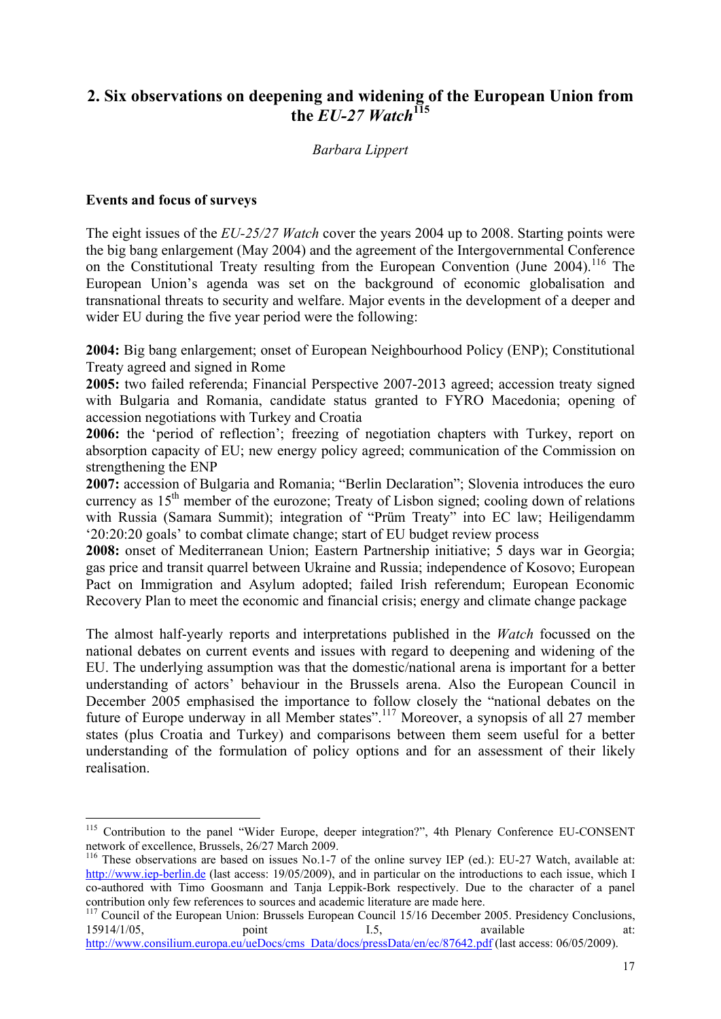## **2. Six observations on deepening and widening of the European Union from**  the  $EU-27$  Watch<sup>115</sup>

#### *Barbara Lippert*

#### **Events and focus of surveys**

1

The eight issues of the *EU-25/27 Watch* cover the years 2004 up to 2008. Starting points were the big bang enlargement (May 2004) and the agreement of the Intergovernmental Conference on the Constitutional Treaty resulting from the European Convention (June 2004).<sup>116</sup> The European Union's agenda was set on the background of economic globalisation and transnational threats to security and welfare. Major events in the development of a deeper and wider EU during the five year period were the following:

**2004:** Big bang enlargement; onset of European Neighbourhood Policy (ENP); Constitutional Treaty agreed and signed in Rome

**2005:** two failed referenda; Financial Perspective 2007-2013 agreed; accession treaty signed with Bulgaria and Romania, candidate status granted to FYRO Macedonia; opening of accession negotiations with Turkey and Croatia

**2006:** the 'period of reflection'; freezing of negotiation chapters with Turkey, report on absorption capacity of EU; new energy policy agreed; communication of the Commission on strengthening the ENP

**2007:** accession of Bulgaria and Romania; "Berlin Declaration"; Slovenia introduces the euro currency as 15<sup>th</sup> member of the eurozone; Treaty of Lisbon signed; cooling down of relations with Russia (Samara Summit); integration of "Prüm Treaty" into EC law; Heiligendamm '20:20:20 goals' to combat climate change; start of EU budget review process

**2008:** onset of Mediterranean Union; Eastern Partnership initiative; 5 days war in Georgia; gas price and transit quarrel between Ukraine and Russia; independence of Kosovo; European Pact on Immigration and Asylum adopted; failed Irish referendum; European Economic Recovery Plan to meet the economic and financial crisis; energy and climate change package

The almost half-yearly reports and interpretations published in the *Watch* focussed on the national debates on current events and issues with regard to deepening and widening of the EU. The underlying assumption was that the domestic/national arena is important for a better understanding of actors' behaviour in the Brussels arena. Also the European Council in December 2005 emphasised the importance to follow closely the "national debates on the future of Europe underway in all Member states".<sup>117</sup> Moreover, a synopsis of all 27 member states (plus Croatia and Turkey) and comparisons between them seem useful for a better understanding of the formulation of policy options and for an assessment of their likely realisation.

<sup>&</sup>lt;sup>115</sup> Contribution to the panel "Wider Europe, deeper integration?", 4th Plenary Conference EU-CONSENT network of excellence, Brussels, 26/27 March 2009.

<sup>&</sup>lt;sup>116</sup> These observations are based on issues No.1-7 of the online survey IEP (ed.): EU-27 Watch, available at: http://www.iep-berlin.de (last access: 19/05/2009), and in particular on the introductions to each issue, which I co-authored with Timo Goosmann and Tanja Leppik-Bork respectively. Due to the character of a panel

<span id="page-17-0"></span>contribution only few references to sources and academic literature are made here.<br>
<sup>117</sup> Council of the European Union: Brussels European Council 15/16 December 2005. Presidency Conclusions,<br>
15914/1/05, available at: 15914/1/05, point 1.5, available at: http://www.consilium.europa.eu/ueDocs/cms\_Data/docs/pressData/en/ec/87642.pdf (last access: 06/05/2009).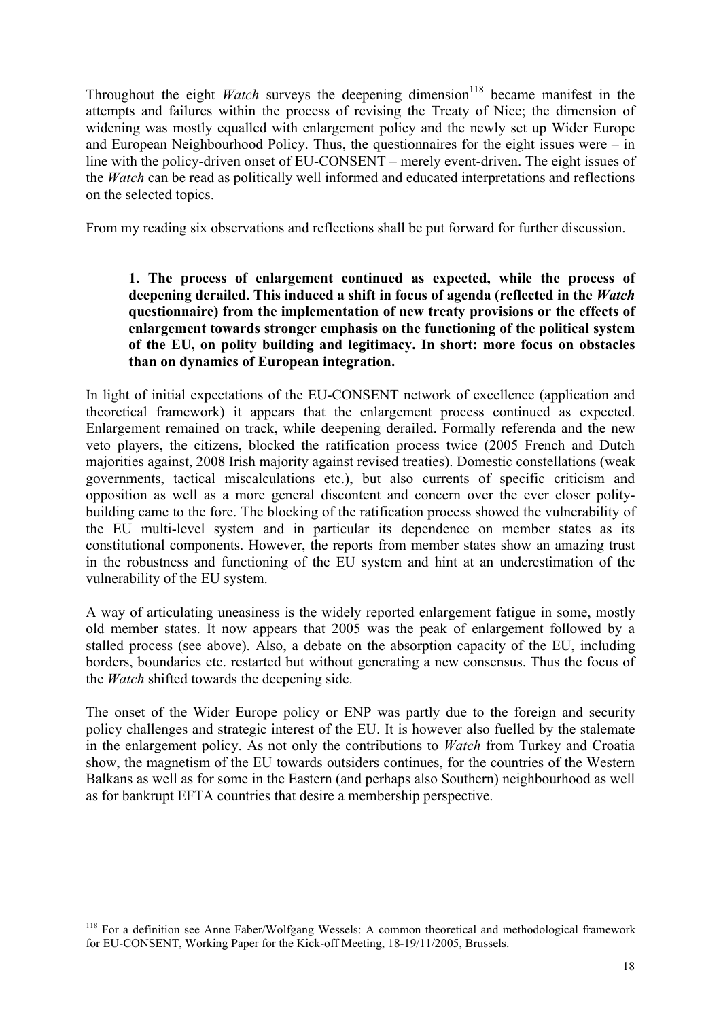Throughout the eight *Watch* surveys the deepening dimension<sup>118</sup> became manifest in the attempts and failures within the process of revising the Treaty of Nice; the dimension of widening was mostly equalled with enlargement policy and the newly set up Wider Europe and European Neighbourhood Policy. Thus, the questionnaires for the eight issues were – in line with the policy-driven onset of EU-CONSENT – merely event-driven. The eight issues of the *Watch* can be read as politically well informed and educated interpretations and reflections on the selected topics.

From my reading six observations and reflections shall be put forward for further discussion.

#### **1. The process of enlargement continued as expected, while the process of deepening derailed. This induced a shift in focus of agenda (reflected in the** *Watch* **questionnaire) from the implementation of new treaty provisions or the effects of enlargement towards stronger emphasis on the functioning of the political system of the EU, on polity building and legitimacy. In short: more focus on obstacles than on dynamics of European integration.**

In light of initial expectations of the EU-CONSENT network of excellence (application and theoretical framework) it appears that the enlargement process continued as expected. Enlargement remained on track, while deepening derailed. Formally referenda and the new veto players, the citizens, blocked the ratification process twice (2005 French and Dutch majorities against, 2008 Irish majority against revised treaties). Domestic constellations (weak governments, tactical miscalculations etc.), but also currents of specific criticism and opposition as well as a more general discontent and concern over the ever closer politybuilding came to the fore. The blocking of the ratification process showed the vulnerability of the EU multi-level system and in particular its dependence on member states as its constitutional components. However, the reports from member states show an amazing trust in the robustness and functioning of the EU system and hint at an underestimation of the vulnerability of the EU system.

A way of articulating uneasiness is the widely reported enlargement fatigue in some, mostly old member states. It now appears that 2005 was the peak of enlargement followed by a stalled process (see above). Also, a debate on the absorption capacity of the EU, including borders, boundaries etc. restarted but without generating a new consensus. Thus the focus of the *Watch* shifted towards the deepening side.

The onset of the Wider Europe policy or ENP was partly due to the foreign and security policy challenges and strategic interest of the EU. It is however also fuelled by the stalemate in the enlargement policy. As not only the contributions to *Watch* from Turkey and Croatia show, the magnetism of the EU towards outsiders continues, for the countries of the Western Balkans as well as for some in the Eastern (and perhaps also Southern) neighbourhood as well as for bankrupt EFTA countries that desire a membership perspective.

<sup>1</sup> <sup>118</sup> For a definition see Anne Faber/Wolfgang Wessels: A common theoretical and methodological framework for EU-CONSENT, Working Paper for the Kick-off Meeting, 18-19/11/2005, Brussels.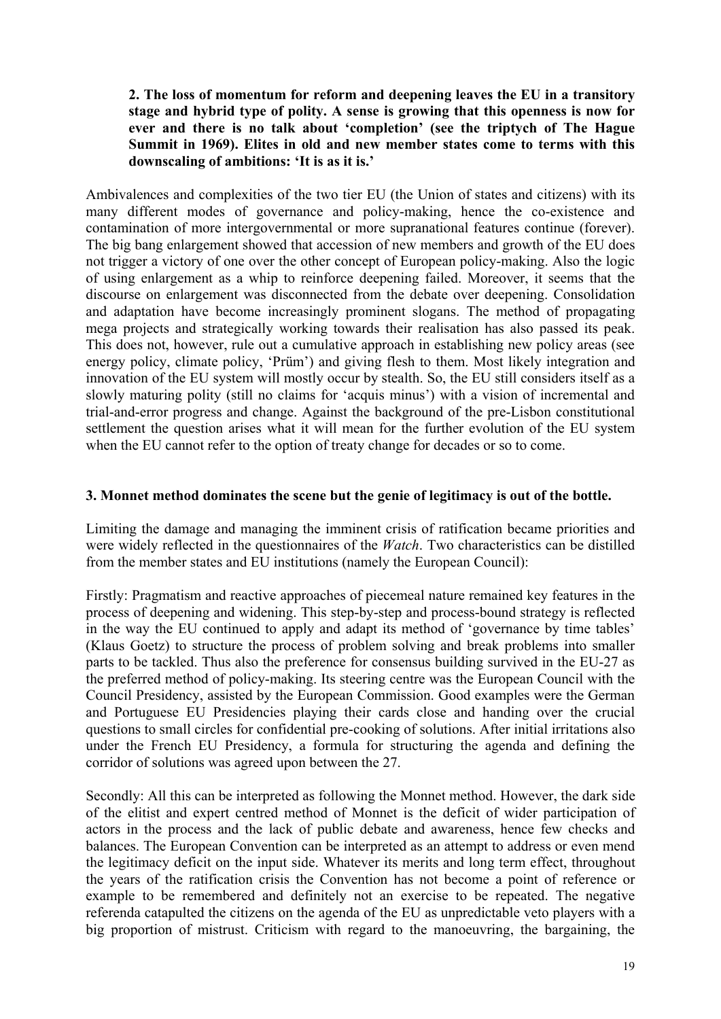#### **2. The loss of momentum for reform and deepening leaves the EU in a transitory stage and hybrid type of polity. A sense is growing that this openness is now for ever and there is no talk about 'completion' (see the triptych of The Hague Summit in 1969). Elites in old and new member states come to terms with this downscaling of ambitions: 'It is as it is.'**

Ambivalences and complexities of the two tier EU (the Union of states and citizens) with its many different modes of governance and policy-making, hence the co-existence and contamination of more intergovernmental or more supranational features continue (forever). The big bang enlargement showed that accession of new members and growth of the EU does not trigger a victory of one over the other concept of European policy-making. Also the logic of using enlargement as a whip to reinforce deepening failed. Moreover, it seems that the discourse on enlargement was disconnected from the debate over deepening. Consolidation and adaptation have become increasingly prominent slogans. The method of propagating mega projects and strategically working towards their realisation has also passed its peak. This does not, however, rule out a cumulative approach in establishing new policy areas (see energy policy, climate policy, 'Prüm') and giving flesh to them. Most likely integration and innovation of the EU system will mostly occur by stealth. So, the EU still considers itself as a slowly maturing polity (still no claims for 'acquis minus') with a vision of incremental and trial-and-error progress and change. Against the background of the pre-Lisbon constitutional settlement the question arises what it will mean for the further evolution of the EU system when the EU cannot refer to the option of treaty change for decades or so to come.

#### **3. Monnet method dominates the scene but the genie of legitimacy is out of the bottle.**

Limiting the damage and managing the imminent crisis of ratification became priorities and were widely reflected in the questionnaires of the *Watch*. Two characteristics can be distilled from the member states and EU institutions (namely the European Council):

Firstly: Pragmatism and reactive approaches of piecemeal nature remained key features in the process of deepening and widening. This step-by-step and process-bound strategy is reflected in the way the EU continued to apply and adapt its method of 'governance by time tables' (Klaus Goetz) to structure the process of problem solving and break problems into smaller parts to be tackled. Thus also the preference for consensus building survived in the EU-27 as the preferred method of policy-making. Its steering centre was the European Council with the Council Presidency, assisted by the European Commission. Good examples were the German and Portuguese EU Presidencies playing their cards close and handing over the crucial questions to small circles for confidential pre-cooking of solutions. After initial irritations also under the French EU Presidency, a formula for structuring the agenda and defining the corridor of solutions was agreed upon between the 27.

Secondly: All this can be interpreted as following the Monnet method. However, the dark side of the elitist and expert centred method of Monnet is the deficit of wider participation of actors in the process and the lack of public debate and awareness, hence few checks and balances. The European Convention can be interpreted as an attempt to address or even mend the legitimacy deficit on the input side. Whatever its merits and long term effect, throughout the years of the ratification crisis the Convention has not become a point of reference or example to be remembered and definitely not an exercise to be repeated. The negative referenda catapulted the citizens on the agenda of the EU as unpredictable veto players with a big proportion of mistrust. Criticism with regard to the manoeuvring, the bargaining, the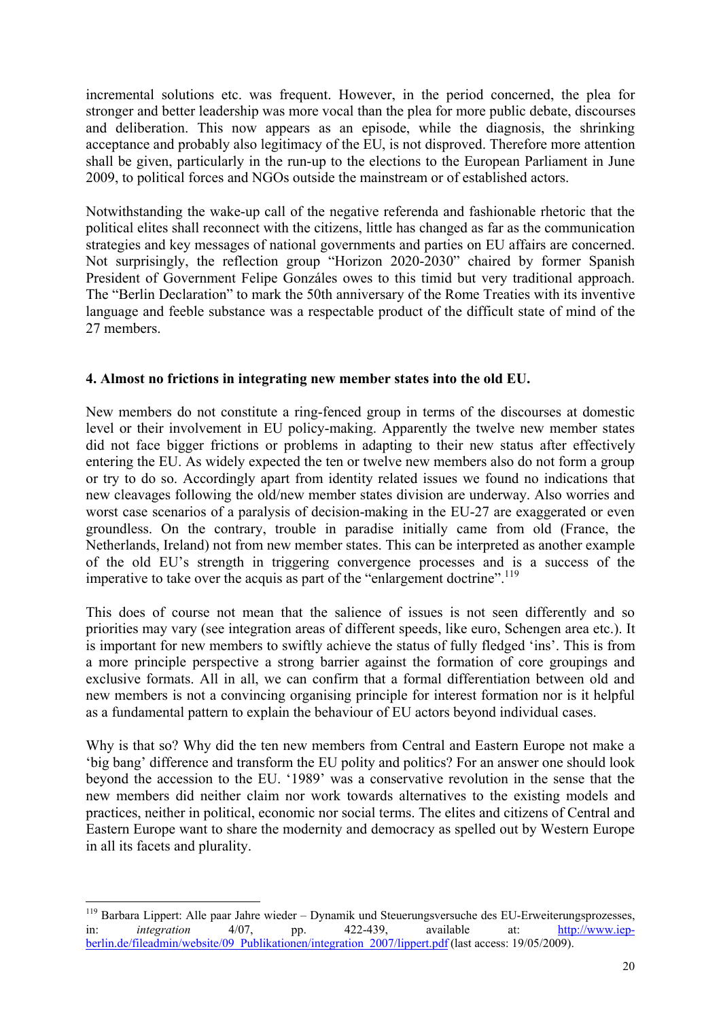incremental solutions etc. was frequent. However, in the period concerned, the plea for stronger and better leadership was more vocal than the plea for more public debate, discourses and deliberation. This now appears as an episode, while the diagnosis, the shrinking acceptance and probably also legitimacy of the EU, is not disproved. Therefore more attention shall be given, particularly in the run-up to the elections to the European Parliament in June 2009, to political forces and NGOs outside the mainstream or of established actors.

Notwithstanding the wake-up call of the negative referenda and fashionable rhetoric that the political elites shall reconnect with the citizens, little has changed as far as the communication strategies and key messages of national governments and parties on EU affairs are concerned. Not surprisingly, the reflection group "Horizon 2020-2030" chaired by former Spanish President of Government Felipe Gonzáles owes to this timid but very traditional approach. The "Berlin Declaration" to mark the 50th anniversary of the Rome Treaties with its inventive language and feeble substance was a respectable product of the difficult state of mind of the 27 members.

#### **4. Almost no frictions in integrating new member states into the old EU.**

New members do not constitute a ring-fenced group in terms of the discourses at domestic level or their involvement in EU policy-making. Apparently the twelve new member states did not face bigger frictions or problems in adapting to their new status after effectively entering the EU. As widely expected the ten or twelve new members also do not form a group or try to do so. Accordingly apart from identity related issues we found no indications that new cleavages following the old/new member states division are underway. Also worries and worst case scenarios of a paralysis of decision-making in the EU-27 are exaggerated or even groundless. On the contrary, trouble in paradise initially came from old (France, the Netherlands, Ireland) not from new member states. This can be interpreted as another example of the old EU's strength in triggering convergence processes and is a success of the imperative to take over the acquis as part of the "enlargement doctrine".<sup>119</sup>

This does of course not mean that the salience of issues is not seen differently and so priorities may vary (see integration areas of different speeds, like euro, Schengen area etc.). It is important for new members to swiftly achieve the status of fully fledged 'ins'. This is from a more principle perspective a strong barrier against the formation of core groupings and exclusive formats. All in all, we can confirm that a formal differentiation between old and new members is not a convincing organising principle for interest formation nor is it helpful as a fundamental pattern to explain the behaviour of EU actors beyond individual cases.

Why is that so? Why did the ten new members from Central and Eastern Europe not make a 'big bang' difference and transform the EU polity and politics? For an answer one should look beyond the accession to the EU. '1989' was a conservative revolution in the sense that the new members did neither claim nor work towards alternatives to the existing models and practices, neither in political, economic nor social terms. The elites and citizens of Central and Eastern Europe want to share the modernity and democracy as spelled out by Western Europe in all its facets and plurality.

<sup>1</sup> <sup>119</sup> Barbara Lippert: Alle paar Jahre wieder – Dynamik und Steuerungsversuche des EU-Erweiterungsprozesses, in: *integration* 4/07, pp. 422-439, available at: http://www.iepberlin.de/fileadmin/website/09\_Publikationen/integration\_2007/lippert.pdf (last access: 19/05/2009).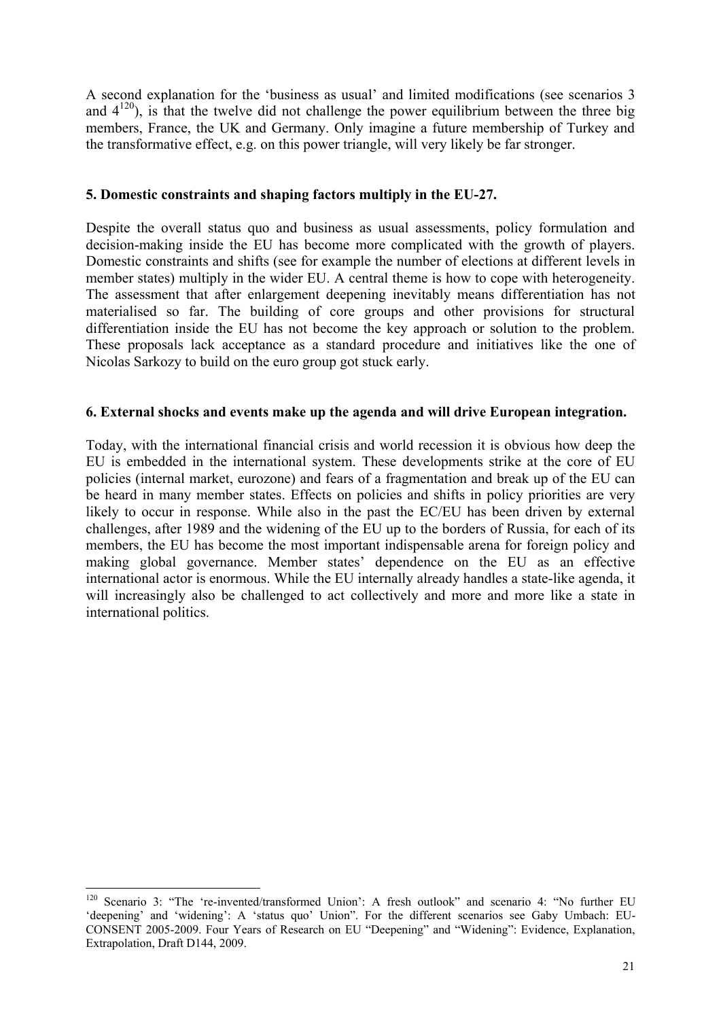A second explanation for the 'business as usual' and limited modifications (see scenarios 3 and  $4^{120}$ ), is that the twelve did not challenge the power equilibrium between the three big members, France, the UK and Germany. Only imagine a future membership of Turkey and the transformative effect, e.g. on this power triangle, will very likely be far stronger.

#### **5. Domestic constraints and shaping factors multiply in the EU-27.**

Despite the overall status quo and business as usual assessments, policy formulation and decision-making inside the EU has become more complicated with the growth of players. Domestic constraints and shifts (see for example the number of elections at different levels in member states) multiply in the wider EU. A central theme is how to cope with heterogeneity. The assessment that after enlargement deepening inevitably means differentiation has not materialised so far. The building of core groups and other provisions for structural differentiation inside the EU has not become the key approach or solution to the problem. These proposals lack acceptance as a standard procedure and initiatives like the one of Nicolas Sarkozy to build on the euro group got stuck early.

#### **6. External shocks and events make up the agenda and will drive European integration.**

Today, with the international financial crisis and world recession it is obvious how deep the EU is embedded in the international system. These developments strike at the core of EU policies (internal market, eurozone) and fears of a fragmentation and break up of the EU can be heard in many member states. Effects on policies and shifts in policy priorities are very likely to occur in response. While also in the past the EC/EU has been driven by external challenges, after 1989 and the widening of the EU up to the borders of Russia, for each of its members, the EU has become the most important indispensable arena for foreign policy and making global governance. Member states' dependence on the EU as an effective international actor is enormous. While the EU internally already handles a state-like agenda, it will increasingly also be challenged to act collectively and more and more like a state in international politics.

<sup>120</sup> Scenario 3: "The 're-invented/transformed Union': A fresh outlook" and scenario 4: "No further EU 'deepening' and 'widening': A 'status quo' Union". For the different scenarios see Gaby Umbach: EU-CONSENT 2005-2009. Four Years of Research on EU "Deepening" and "Widening": Evidence, Explanation, Extrapolation, Draft D144, 2009.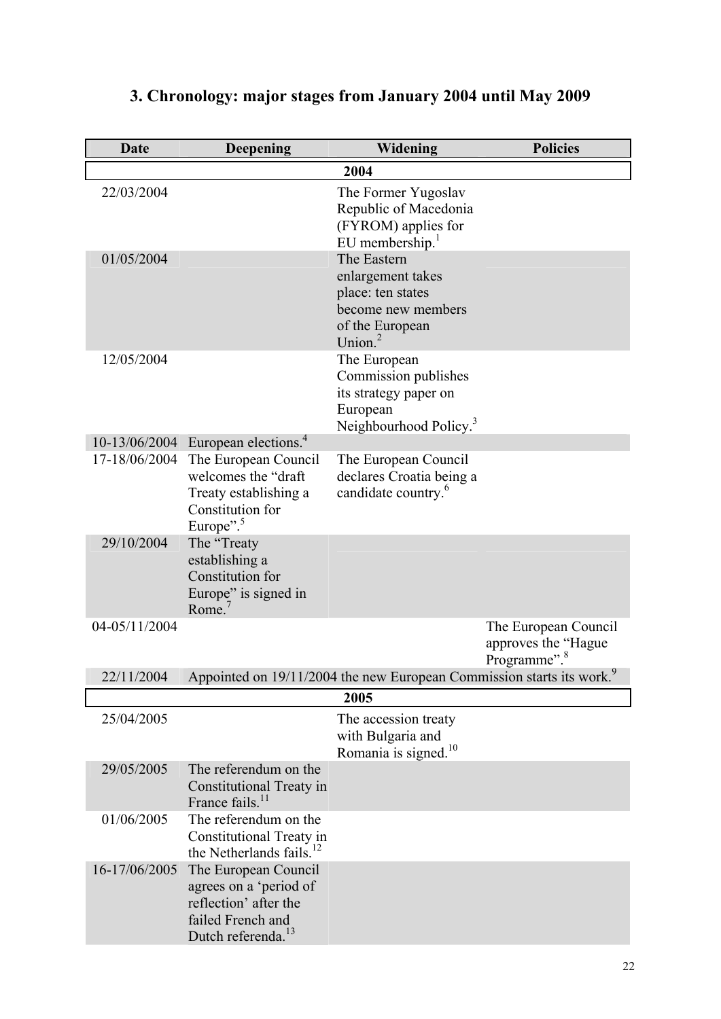<span id="page-22-0"></span>

| Date          | <b>Deepening</b>                                                                                                               | Widening                                                                                                              | <b>Policies</b>                                                         |
|---------------|--------------------------------------------------------------------------------------------------------------------------------|-----------------------------------------------------------------------------------------------------------------------|-------------------------------------------------------------------------|
|               |                                                                                                                                | 2004                                                                                                                  |                                                                         |
| 22/03/2004    |                                                                                                                                | The Former Yugoslav<br>Republic of Macedonia<br>(FYROM) applies for<br>EU membership. <sup>1</sup>                    |                                                                         |
| 01/05/2004    |                                                                                                                                | The Eastern<br>enlargement takes<br>place: ten states<br>become new members<br>of the European<br>Union. <sup>2</sup> |                                                                         |
| 12/05/2004    |                                                                                                                                | The European<br>Commission publishes<br>its strategy paper on<br>European<br>Neighbourhood Policy. <sup>3</sup>       |                                                                         |
| 10-13/06/2004 | European elections. <sup>4</sup>                                                                                               |                                                                                                                       |                                                                         |
| 17-18/06/2004 | The European Council<br>welcomes the "draft"<br>Treaty establishing a<br>Constitution for<br>Europe". <sup>5</sup>             | The European Council<br>declares Croatia being a<br>candidate country. <sup>6</sup>                                   |                                                                         |
| 29/10/2004    | The "Treaty<br>establishing a<br>Constitution for<br>Europe" is signed in<br>Rome. $7$                                         |                                                                                                                       |                                                                         |
| 04-05/11/2004 |                                                                                                                                |                                                                                                                       | The European Council<br>approves the "Hague<br>Programme". <sup>8</sup> |
| 22/11/2004    |                                                                                                                                | Appointed on 19/11/2004 the new European Commission starts its work. <sup>9</sup>                                     |                                                                         |
|               |                                                                                                                                | 2005                                                                                                                  |                                                                         |
| 25/04/2005    |                                                                                                                                | The accession treaty<br>with Bulgaria and<br>Romania is signed. <sup>10</sup>                                         |                                                                         |
| 29/05/2005    | The referendum on the<br>Constitutional Treaty in<br>France fails. <sup>11</sup>                                               |                                                                                                                       |                                                                         |
| 01/06/2005    | The referendum on the<br>Constitutional Treaty in<br>the Netherlands fails. <sup>12</sup>                                      |                                                                                                                       |                                                                         |
| 16-17/06/2005 | The European Council<br>agrees on a 'period of<br>reflection' after the<br>failed French and<br>Dutch referenda. <sup>13</sup> |                                                                                                                       |                                                                         |

# **3. Chronology: major stages from January 2004 until May 2009**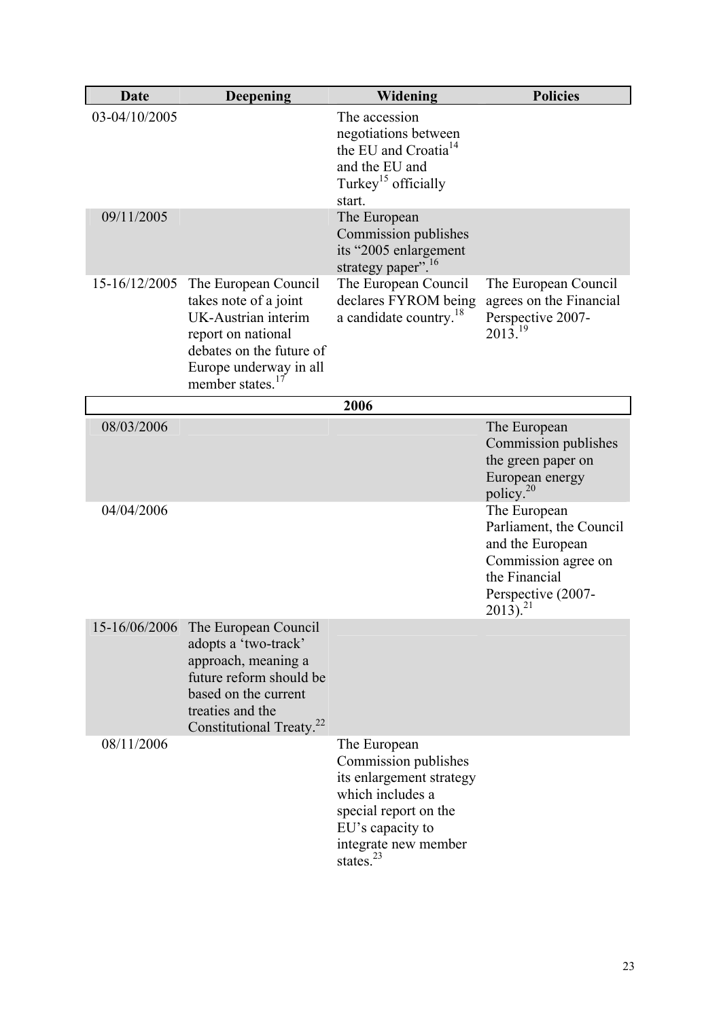| Date          | Deepening                                                                                                                                                                                        | Widening                                                                                                                                                                     | <b>Policies</b>                                                                                                                                      |
|---------------|--------------------------------------------------------------------------------------------------------------------------------------------------------------------------------------------------|------------------------------------------------------------------------------------------------------------------------------------------------------------------------------|------------------------------------------------------------------------------------------------------------------------------------------------------|
| 03-04/10/2005 |                                                                                                                                                                                                  | The accession<br>negotiations between<br>the EU and Croatia <sup>14</sup><br>and the EU and<br>Turkey <sup>15</sup> officially<br>start.                                     |                                                                                                                                                      |
| 09/11/2005    |                                                                                                                                                                                                  | The European<br>Commission publishes<br>its "2005 enlargement<br>strategy paper". <sup>16</sup>                                                                              |                                                                                                                                                      |
| 15-16/12/2005 | The European Council<br>takes note of a joint<br>UK-Austrian interim<br>report on national<br>debates on the future of<br>Europe underway in all<br>member states. <sup>17</sup>                 | The European Council<br>declares FYROM being<br>a candidate country. <sup>18</sup>                                                                                           | The European Council<br>agrees on the Financial<br>Perspective 2007-<br>2013. <sup>19</sup>                                                          |
|               |                                                                                                                                                                                                  | 2006                                                                                                                                                                         |                                                                                                                                                      |
| 08/03/2006    |                                                                                                                                                                                                  |                                                                                                                                                                              | The European<br>Commission publishes<br>the green paper on<br>European energy<br>policy. <sup>20</sup>                                               |
| 04/04/2006    |                                                                                                                                                                                                  |                                                                                                                                                                              | The European<br>Parliament, the Council<br>and the European<br>Commission agree on<br>the Financial<br>Perspective (2007-<br>$2013$ ). <sup>21</sup> |
|               | 15-16/06/2006 The European Council<br>adopts a 'two-track'<br>approach, meaning a<br>future reform should be<br>based on the current<br>treaties and the<br>Constitutional Treaty. <sup>22</sup> |                                                                                                                                                                              |                                                                                                                                                      |
| 08/11/2006    |                                                                                                                                                                                                  | The European<br>Commission publishes<br>its enlargement strategy<br>which includes a<br>special report on the<br>EU's capacity to<br>integrate new member<br>states. $^{23}$ |                                                                                                                                                      |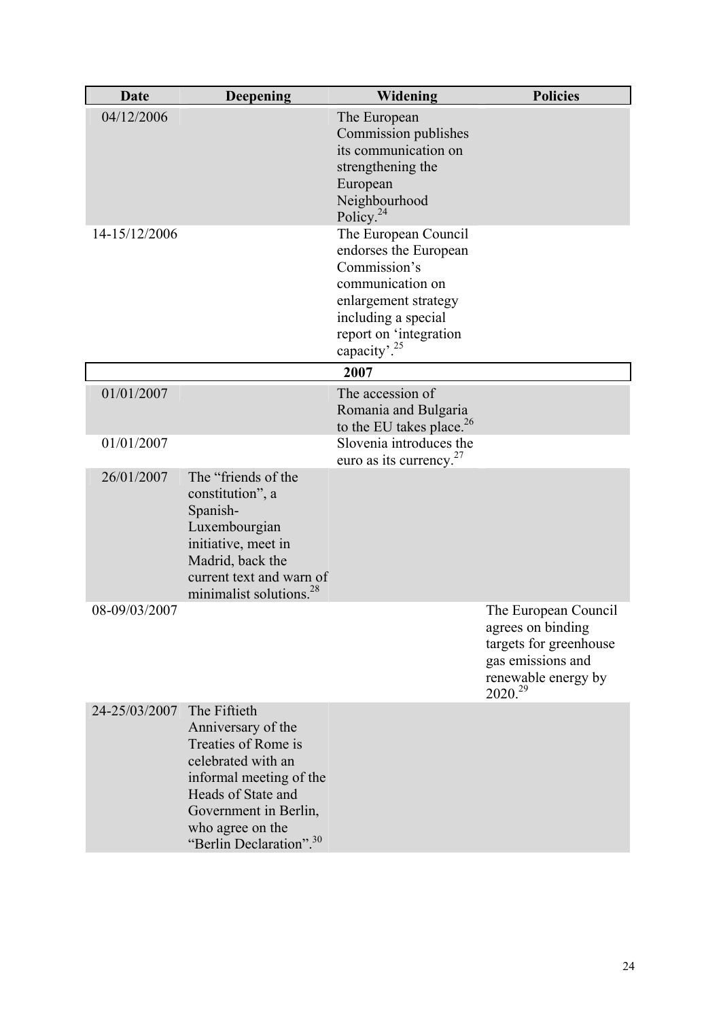| Date          | Deepening                                                                                                                                                                                                            | Widening                                                                                                                                                                               | <b>Policies</b>                                                                                                                        |
|---------------|----------------------------------------------------------------------------------------------------------------------------------------------------------------------------------------------------------------------|----------------------------------------------------------------------------------------------------------------------------------------------------------------------------------------|----------------------------------------------------------------------------------------------------------------------------------------|
| 04/12/2006    |                                                                                                                                                                                                                      | The European<br>Commission publishes<br>its communication on<br>strengthening the<br>European<br>Neighbourhood<br>Policy. <sup>24</sup>                                                |                                                                                                                                        |
| 14-15/12/2006 |                                                                                                                                                                                                                      | The European Council<br>endorses the European<br>Commission's<br>communication on<br>enlargement strategy<br>including a special<br>report on 'integration<br>capacity'. <sup>25</sup> |                                                                                                                                        |
|               |                                                                                                                                                                                                                      | 2007                                                                                                                                                                                   |                                                                                                                                        |
| 01/01/2007    |                                                                                                                                                                                                                      | The accession of<br>Romania and Bulgaria<br>to the EU takes place. $26$                                                                                                                |                                                                                                                                        |
| 01/01/2007    |                                                                                                                                                                                                                      | Slovenia introduces the<br>euro as its currency. $27$                                                                                                                                  |                                                                                                                                        |
| 26/01/2007    | The "friends of the<br>constitution", a<br>Spanish-<br>Luxembourgian<br>initiative, meet in<br>Madrid, back the<br>current text and warn of<br>minimalist solutions. <sup>28</sup>                                   |                                                                                                                                                                                        |                                                                                                                                        |
| 08-09/03/2007 |                                                                                                                                                                                                                      |                                                                                                                                                                                        | The European Council<br>agrees on binding<br>targets for greenhouse<br>gas emissions and<br>renewable energy by<br>2020. <sup>29</sup> |
| 24-25/03/2007 | The Fiftieth<br>Anniversary of the<br>Treaties of Rome is<br>celebrated with an<br>informal meeting of the<br>Heads of State and<br>Government in Berlin,<br>who agree on the<br>"Berlin Declaration". <sup>30</sup> |                                                                                                                                                                                        |                                                                                                                                        |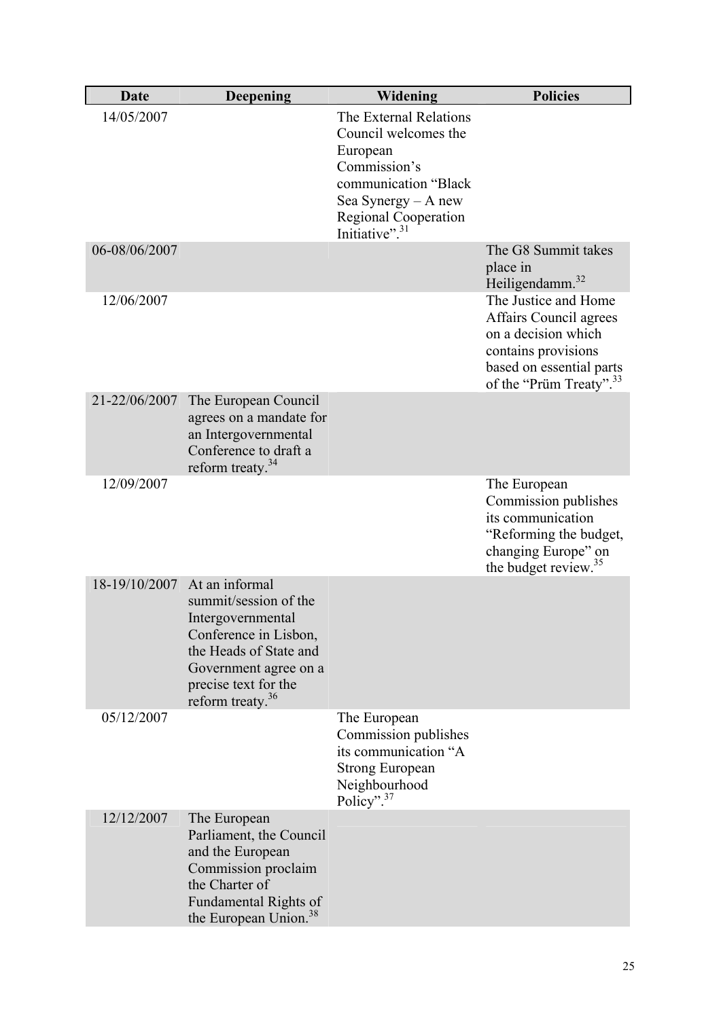| <b>Date</b>   | <b>Deepening</b>                                                                                                                                                                                      | Widening                                                                                                                                                                                 | <b>Policies</b>                                                                                                                                                 |
|---------------|-------------------------------------------------------------------------------------------------------------------------------------------------------------------------------------------------------|------------------------------------------------------------------------------------------------------------------------------------------------------------------------------------------|-----------------------------------------------------------------------------------------------------------------------------------------------------------------|
| 14/05/2007    |                                                                                                                                                                                                       | The External Relations<br>Council welcomes the<br>European<br>Commission's<br>communication "Black<br>Sea Synergy $-$ A new<br><b>Regional Cooperation</b><br>Initiative". <sup>31</sup> |                                                                                                                                                                 |
| 06-08/06/2007 |                                                                                                                                                                                                       |                                                                                                                                                                                          | The G8 Summit takes<br>place in<br>Heiligendamm. <sup>32</sup>                                                                                                  |
| 12/06/2007    |                                                                                                                                                                                                       |                                                                                                                                                                                          | The Justice and Home<br>Affairs Council agrees<br>on a decision which<br>contains provisions<br>based on essential parts<br>of the "Prüm Treaty". <sup>33</sup> |
| 21-22/06/2007 | The European Council<br>agrees on a mandate for<br>an Intergovernmental<br>Conference to draft a<br>reform treaty. <sup>34</sup>                                                                      |                                                                                                                                                                                          |                                                                                                                                                                 |
| 12/09/2007    |                                                                                                                                                                                                       |                                                                                                                                                                                          | The European<br>Commission publishes<br>its communication<br>"Reforming the budget,<br>changing Europe" on<br>the budget review. <sup>35</sup>                  |
|               | 18-19/10/2007 At an informal<br>summit/session of the<br>Intergovernmental<br>Conference in Lisbon,<br>the Heads of State and<br>Government agree on a<br>precise text for the<br>reform treaty. $36$ |                                                                                                                                                                                          |                                                                                                                                                                 |
| 05/12/2007    |                                                                                                                                                                                                       | The European<br>Commission publishes<br>its communication "A<br><b>Strong European</b><br>Neighbourhood<br>Policy". <sup>37</sup>                                                        |                                                                                                                                                                 |
| 12/12/2007    | The European<br>Parliament, the Council<br>and the European<br>Commission proclaim<br>the Charter of<br>Fundamental Rights of<br>the European Union. <sup>38</sup>                                    |                                                                                                                                                                                          |                                                                                                                                                                 |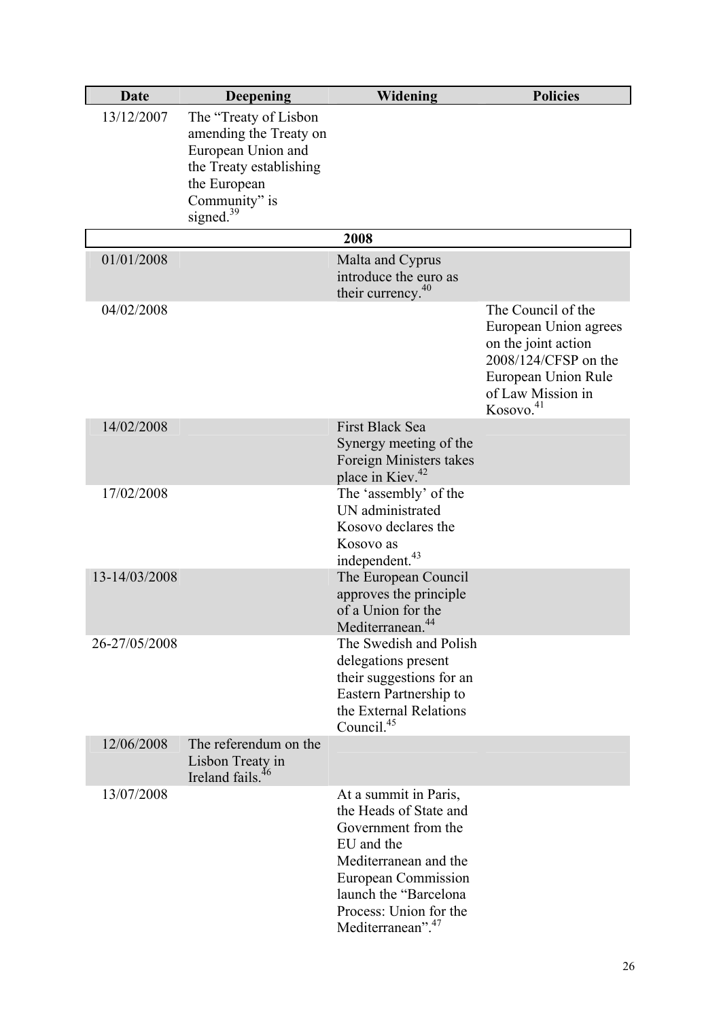| Date          | <b>Deepening</b>                                                                                                                                            | Widening                                                                                                                                                                                                                 | <b>Policies</b>                                                                                                                                                 |
|---------------|-------------------------------------------------------------------------------------------------------------------------------------------------------------|--------------------------------------------------------------------------------------------------------------------------------------------------------------------------------------------------------------------------|-----------------------------------------------------------------------------------------------------------------------------------------------------------------|
| 13/12/2007    | The "Treaty of Lisbon"<br>amending the Treaty on<br>European Union and<br>the Treaty establishing<br>the European<br>Community" is<br>signed. <sup>39</sup> |                                                                                                                                                                                                                          |                                                                                                                                                                 |
|               |                                                                                                                                                             | 2008                                                                                                                                                                                                                     |                                                                                                                                                                 |
| 01/01/2008    |                                                                                                                                                             | Malta and Cyprus<br>introduce the euro as<br>their currency. <sup>40</sup>                                                                                                                                               |                                                                                                                                                                 |
| 04/02/2008    |                                                                                                                                                             |                                                                                                                                                                                                                          | The Council of the<br>European Union agrees<br>on the joint action<br>2008/124/CFSP on the<br>European Union Rule<br>of Law Mission in<br>Kosovo. <sup>41</sup> |
| 14/02/2008    |                                                                                                                                                             | First Black Sea<br>Synergy meeting of the<br>Foreign Ministers takes<br>place in Kiev. <sup>42</sup>                                                                                                                     |                                                                                                                                                                 |
| 17/02/2008    |                                                                                                                                                             | The 'assembly' of the<br>UN administrated<br>Kosovo declares the<br>Kosovo as<br>independent. <sup>43</sup>                                                                                                              |                                                                                                                                                                 |
| 13-14/03/2008 |                                                                                                                                                             | The European Council<br>approves the principle<br>of a Union for the<br>Mediterranean. <sup>44</sup>                                                                                                                     |                                                                                                                                                                 |
| 26-27/05/2008 |                                                                                                                                                             | The Swedish and Polish<br>delegations present<br>their suggestions for an<br>Eastern Partnership to<br>the External Relations<br>Council. <sup>45</sup>                                                                  |                                                                                                                                                                 |
| 12/06/2008    | The referendum on the<br>Lisbon Treaty in<br>Ireland fails. <sup>46</sup>                                                                                   |                                                                                                                                                                                                                          |                                                                                                                                                                 |
| 13/07/2008    |                                                                                                                                                             | At a summit in Paris,<br>the Heads of State and<br>Government from the<br>EU and the<br>Mediterranean and the<br>European Commission<br>launch the "Barcelona<br>Process: Union for the<br>Mediterranean". <sup>47</sup> |                                                                                                                                                                 |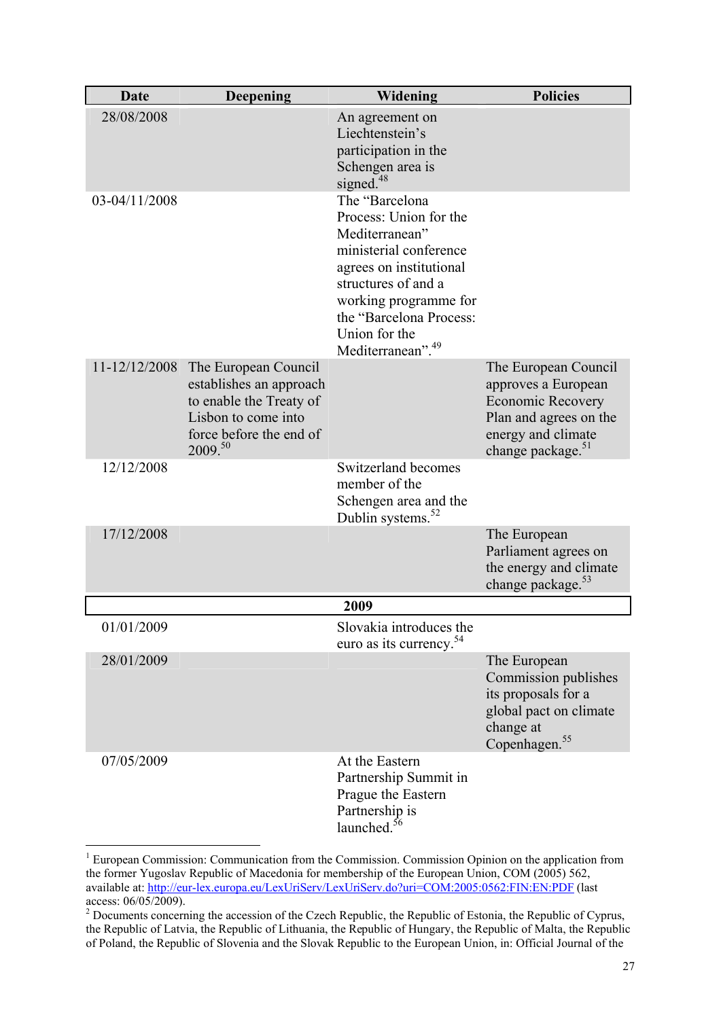| <b>Date</b>   | <b>Deepening</b>                                                                                                                        | Widening                                                                                                                                                                                                                                     | <b>Policies</b>                                                                                                                                          |
|---------------|-----------------------------------------------------------------------------------------------------------------------------------------|----------------------------------------------------------------------------------------------------------------------------------------------------------------------------------------------------------------------------------------------|----------------------------------------------------------------------------------------------------------------------------------------------------------|
| 28/08/2008    |                                                                                                                                         | An agreement on<br>Liechtenstein's<br>participation in the<br>Schengen area is<br>signed. <sup>48</sup>                                                                                                                                      |                                                                                                                                                          |
| 03-04/11/2008 |                                                                                                                                         | The "Barcelona<br>Process: Union for the<br>Mediterranean"<br>ministerial conference<br>agrees on institutional<br>structures of and a<br>working programme for<br>the "Barcelona Process:<br>Union for the<br>Mediterranean". <sup>49</sup> |                                                                                                                                                          |
| 11-12/12/2008 | The European Council<br>establishes an approach<br>to enable the Treaty of<br>Lisbon to come into<br>force before the end of<br>2009.50 |                                                                                                                                                                                                                                              | The European Council<br>approves a European<br><b>Economic Recovery</b><br>Plan and agrees on the<br>energy and climate<br>change package. <sup>51</sup> |
| 12/12/2008    |                                                                                                                                         | Switzerland becomes<br>member of the<br>Schengen area and the<br>Dublin systems. <sup>52</sup>                                                                                                                                               |                                                                                                                                                          |
| 17/12/2008    |                                                                                                                                         |                                                                                                                                                                                                                                              | The European<br>Parliament agrees on<br>the energy and climate<br>change package. <sup>53</sup>                                                          |
|               |                                                                                                                                         | 2009                                                                                                                                                                                                                                         |                                                                                                                                                          |
| 01/01/2009    |                                                                                                                                         | Slovakia introduces the<br>euro as its currency. <sup>54</sup>                                                                                                                                                                               |                                                                                                                                                          |
| 28/01/2009    |                                                                                                                                         |                                                                                                                                                                                                                                              | The European<br>Commission publishes<br>its proposals for a<br>global pact on climate<br>change at<br>Copenhagen. <sup>55</sup>                          |
| 07/05/2009    |                                                                                                                                         | At the Eastern<br>Partnership Summit in<br>Prague the Eastern<br>Partnership is<br>launched. <sup>56</sup>                                                                                                                                   |                                                                                                                                                          |

 1 European Commission: Communication from the Commission. Commission Opinion on the application from the former Yugoslav Republic of Macedonia for membership of the European Union, COM (2005) 562, available at: http://eur-lex.europa.eu/LexUriServ/LexUriServ.do?uri=COM:2005:0562:FIN:EN:PDF (last access: 06/05/2009).

 $2$  Documents concerning the accession of the Czech Republic, the Republic of Estonia, the Republic of Cyprus, the Republic of Latvia, the Republic of Lithuania, the Republic of Hungary, the Republic of Malta, the Republic of Poland, the Republic of Slovenia and the Slovak Republic to the European Union, in: Official Journal of the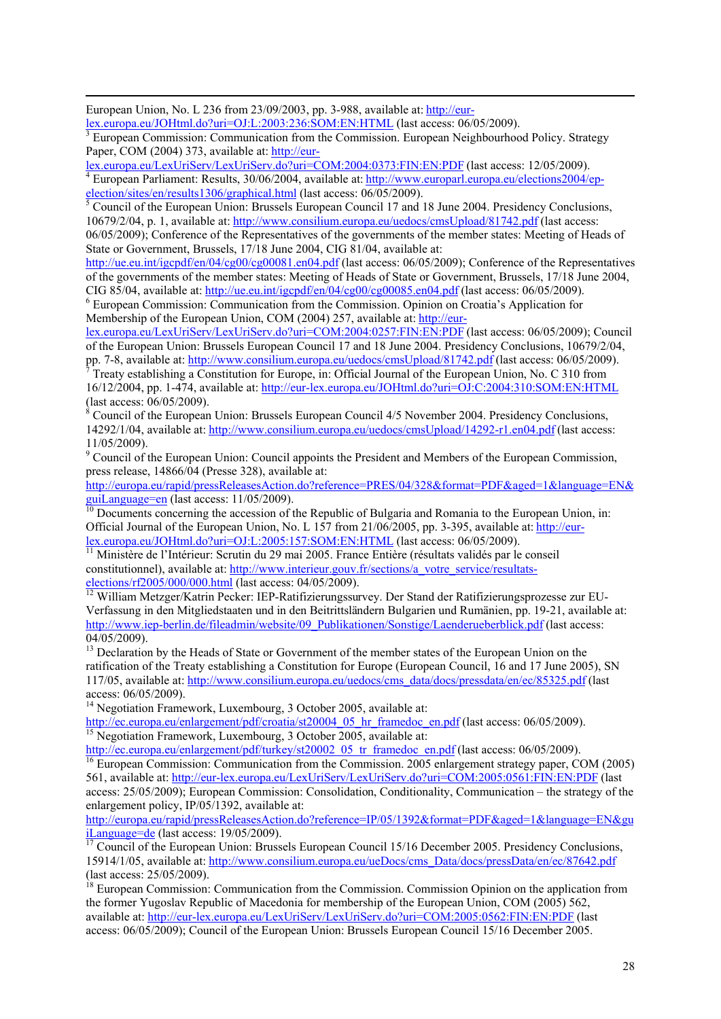European Union, No. L 236 from 23/09/2003, pp. 3-988, available at: http://eur-

lex.europa.eu/JOHtml.do?uri=OJ:L:2003:236:SOM:EN:HTML (last access: 06/05/2009). 3

 European Commission: Communication from the Commission. European Neighbourhood Policy. Strategy Paper, COM (2004) 373, available at: http://eur-

lex.europa.eu/LexUriServ/LexUriServ.do?uri=COM:2004:0373:FIN:EN:PDF (last access: 12/05/2009). 4

<sup>4</sup> European Parliament: Results, 30/06/2004, available at: http://www.europarl.europa.eu/elections2004/epelection/sites/en/results1306/graphical.html (last access:  $06/05/2009$ ).

 $<sup>5</sup>$  Council of the European Union: Brussels European Council 17 and 18 June 2004. Presidency Conclusions,</sup> 10679/2/04, p. 1, available at: http://www.consilium.europa.eu/uedocs/cmsUpload/81742.pdf (last access: 06/05/2009); Conference of the Representatives of the governments of the member states: Meeting of Heads of

State or Government, Brussels, 17/18 June 2004, CIG 81/04, available at:

http://ue.eu.int/igcpdf/en/04/cg00/cg00081.en04.pdf (last access: 06/05/2009); Conference of the Representatives of the governments of the member states: Meeting of Heads of State or Government, Brussels, 17/18 June 2004, CIG 85/04, available at: http://ue.eu.int/igcpdf/en/04/cg00/cg00085.en04.pdf (last access:  $06/05/2009$ ).

 European Commission: Communication from the Commission. Opinion on Croatia's Application for Membership of the European Union, COM (2004) 257, available at: http://eur-

lex.europa.eu/LexUriServ/LexUriServ.do?uri=COM:2004:0257:FIN:EN:PDF (last access: 06/05/2009); Council of the European Union: Brussels European Council 17 and 18 June 2004. Presidency Conclusions, 10679/2/04,

pp. 7-8, available at: http://www.consilium.europa.eu/uedocs/cmsUpload/81742.pdf (last access: 06/05/2009). 7 Treaty establishing a Constitution for Europe, in: Official Journal of the European Union, No. C 310 from 16/12/2004, pp. 1-474, available at: http://eur-lex.europa.eu/JOHtml.do?uri=OJ:C:2004:310:SOM:EN:HTML (last access: 06/05/2009).

<sup>8</sup> Council of the European Union: Brussels European Council 4/5 November 2004. Presidency Conclusions, 14292/1/04, available at: http://www.consilium.europa.eu/uedocs/cmsUpload/14292-r1.en04.pdf (last access: 11/05/2009).

<sup>9</sup> Council of the European Union: Council appoints the President and Members of the European Commission, press release, 14866/04 (Presse 328), available at:

http://europa.eu/rapid/pressReleasesAction.do?reference=PRES/04/328&format=PDF&aged=1&language=EN&  $\frac{\text{guiLanguage}= \text{en}}{\text{10}}$  (last access: 11/05/2009).<br><sup>10</sup> Documents concerning the accession of the Republic of Bulgaria and Romania to the European Union, in:

Official Journal of the European Union, No. L 157 from 21/06/2005, pp. 3-395, available at: http://eur-

lex.europa.eu/JOHtml.do?uri=OJ:L:2005:157:SOM:EN:HTML (last access: 06/05/2009).<br><sup>11</sup> Ministère de l'Intérieur: Scrutin du 29 mai 2005. France Entière (résultats validés par le conseil constitutionnel), available at: http://www.interieur.gouv.fr/sections/a\_votre\_service/resultats-

elections/rf2005/000/000.html (last access: 04/05/2009).<br><sup>12</sup> William Metzger/Katrin Pecker: IEP-Ratifizierungssurvey. Der Stand der Ratifizierungsprozesse zur EU-Verfassung in den Mitgliedstaaten und in den Beitrittsländern Bulgarien und Rumänien, pp. 19-21, available at: http://www.iep-berlin.de/fileadmin/website/09\_Publikationen/Sonstige/Laenderueberblick.pdf (last access: 04/05/2009).

<sup>13</sup> Declaration by the Heads of State or Government of the member states of the European Union on the ratification of the Treaty establishing a Constitution for Europe (European Council, 16 and 17 June 2005), SN 117/05, available at: http://www.consilium.europa.eu/uedocs/cms\_data/docs/pressdata/en/ec/85325.pdf (last access: 06/05/2009).

<sup>14</sup> Negotiation Framework, Luxembourg, 3 October 2005, available at:

http://ec.europa.eu/enlargement/pdf/croatia/st20004\_05\_hr\_framedoc\_en.pdf (last access: 06/05/2009).<br><sup>15</sup> Negotiation Framework, Luxembourg, 3 October 2005, available at:<br>http://ec.europa.eu/enlargement/pdf/turkey/st20002\_

 $\frac{16}{16}$  European Commission: Communication from the Commission. 2005 enlargement strategy paper, COM (2005). 561, available at: http://eur-lex.europa.eu/LexUriServ/LexUriServ.do?uri=COM:2005:0561:FIN:EN:PDF (last access: 25/05/2009); European Commission: Consolidation, Conditionality, Communication – the strategy of the enlargement policy, IP/05/1392, available at:

http://europa.eu/rapid/pressReleasesAction.do?reference=IP/05/1392&format=PDF&aged=1&language=EN&gu<br>iLanguage=de (last access: 19/05/2009).

Council of the European Union: Brussels European Council 15/16 December 2005. Presidency Conclusions, 15914/1/05, available at: http://www.consilium.europa.eu/ueDocs/cms\_Data/docs/pressData/en/ec/87642.pdf (last access: 25/05/2009).

<sup>18</sup> European Commission: Communication from the Commission. Commission Opinion on the application from the former Yugoslav Republic of Macedonia for membership of the European Union, COM (2005) 562, available at: http://eur-lex.europa.eu/LexUriServ/LexUriServ.do?uri=COM:2005:0562:FIN:EN:PDF (last access: 06/05/2009); Council of the European Union: Brussels European Council 15/16 December 2005.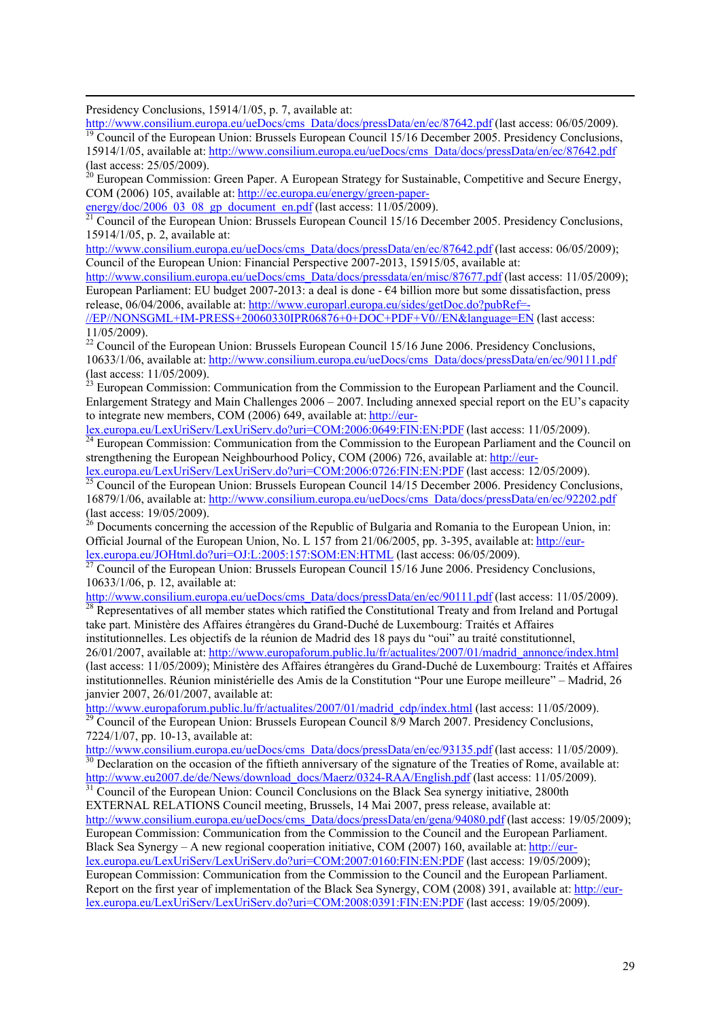Presidency Conclusions, 15914/1/05, p. 7, available at:

http://www.consilium.europa.eu/ueDocs/cms\_Data/docs/pressData/en/ec/87642.pdf (last access: 06/05/2009).<br><sup>19</sup> Council of the European Union: Brussels European Council 15/16 December 2005. Presidency Conclusions,

15914/1/05, available at: http://www.consilium.europa.eu/ueDocs/cms\_Data/docs/pressData/en/ec/87642.pdf (last access: 25/05/2009).

 $20$  European Commission: Green Paper. A European Strategy for Sustainable, Competitive and Secure Energy, COM (2006) 105, available at: http://ec.europa.eu/energy/green-paper-

energy/doc/2006\_03\_08\_gp\_document\_en.pdf (last access: 11/05/2009).  $\frac{21}{21}$  Council of the European Union: Brussels European Council 15/16 December 2005. Presidency Conclusions, 15914/1/05, p. 2, available at:

http://www.consilium.europa.eu/ueDocs/cms\_Data/docs/pressData/en/ec/87642.pdf (last access: 06/05/2009); Council of the European Union: Financial Perspective 2007-2013, 15915/05, available at:

http://www.consilium.europa.eu/ueDocs/cms\_Data/docs/pressdata/en/misc/87677.pdf (last access: 11/05/2009); European Parliament: EU budget 2007-2013: a deal is done - €4 billion more but some dissatisfaction, press release, 06/04/2006, available at: http://www.europarl.europa.eu/sides/getDoc.do?pubRef=-

//EP//NONSGML+IM-PRESS+20060330IPR06876+0+DOC+PDF+V0//EN&language=EN (last access: 11/05/2009).

<sup>22</sup> Council of the European Union: Brussels European Council 15/16 June 2006. Presidency Conclusions, 10633/1/06, available at: http://www.consilium.europa.eu/ueDocs/cms\_Data/docs/pressData/en/ec/90111.pdf (last access: 11/05/2009).

<sup>23</sup> European Commission: Communication from the Commission to the European Parliament and the Council. Enlargement Strategy and Main Challenges 2006 – 2007. Including annexed special report on the EU's capacity to integrate new members, COM (2006) 649, available at: http://eur-

lex.europa.eu/LexUriServ/LexUriServ.do?uri=COM:2006:0649:FIN:EN:PDF (last access: 11/05/2009).<br><sup>24</sup> European Commission: Communication from the Commission to the European Parliament and the Council on strengthening the European Neighbourhood Policy, COM (2006) 726, available at: http://eur-

lex.europa.eu/LexUriServ/LexUriServ.do?uri=COM:2006:0726:FIN:EN:PDF (last access: 12/05/2009).<br><sup>25</sup> Council of the European Union: Brussels European Council 14/15 December 2006. Presidency Conclusions. 16879/1/06, available at: http://www.consilium.europa.eu/ueDocs/cms\_Data/docs/pressData/en/ec/92202.pdf (last access: 19/05/2009).

 $^{26}$  Documents concerning the accession of the Republic of Bulgaria and Romania to the European Union, in: Official Journal of the European Union, No. L 157 from 21/06/2005, pp. 3-395, available at: http://eurlex.europa.eu/JOHtml.do?uri=OJ:L:2005:157:SOM:EN:HTML (last access: 06/05/2009).<br><sup>27</sup> Council of the European Union: Brussels European Council 15/16 June 2006. Presidency Conclusions,

10633/1/06, p. 12, available at:<br>http://www.consilium.europa.eu/ueDocs/cms\_Data/docs/pressData/en/ec/90111.pdf (last access: 11/05/2009).

 $\frac{1}{28}$  Representatives of all member states which ratified the Constitutional Treaty and from Ireland and Portugal take part. Ministère des Affaires étrangères du Grand-Duché de Luxembourg: Traités et Affaires

institutionnelles. Les objectifs de la réunion de Madrid des 18 pays du "oui" au traité constitutionnel, 26/01/2007, available at: http://www.europaforum.public.lu/fr/actualites/2007/01/madrid\_annonce/index.html (last access: 11/05/2009); Ministère des Affaires étrangères du Grand-Duché de Luxembourg: Traités et Affaires institutionnelles. Réunion ministérielle des Amis de la Constitution "Pour une Europe meilleure" – Madrid, 26 janvier 2007, 26/01/2007, available at:

http://www.europaforum.public.lu/fr/actualites/2007/01/madrid\_cdp/index.html (last access: 11/05/2009).<br><sup>29</sup> Council of the European Union: Brussels European Council 8/9 March 2007. Presidency Conclusions, 7224/1/07, pp. 10-13, available at:

http://www.consilium.europa.eu/ueDocs/cms\_Data/docs/pressData/en/ec/93135.pdf (last access: 11/05/2009).<br><sup>30</sup> Declaration on the occasion of the fiftieth anniversary of the signature of the Treaties of Rome, available at:

 $\frac{31}{10}$ Council of the European Union: Council Conclusions on the Black Sea synergy initiative, 2800th EXTERNAL RELATIONS Council meeting, Brussels, 14 Mai 2007, press release, available at: http://www.consilium.europa.eu/ueDocs/cms\_Data/docs/pressData/en/gena/94080.pdf (last access: 19/05/2009); European Commission: Communication from the Commission to the Council and the European Parliament. Black Sea Synergy – A new regional cooperation initiative, COM (2007) 160, available at: http://eurlex.europa.eu/LexUriServ/LexUriServ.do?uri=COM:2007:0160:FIN:EN:PDF (last access: 19/05/2009); European Commission: Communication from the Commission to the Council and the European Parliament. Report on the first year of implementation of the Black Sea Synergy, COM (2008) 391, available at: http://eurlex.europa.eu/LexUriServ/LexUriServ.do?uri=COM:2008:0391:FIN:EN:PDF (last access: 19/05/2009).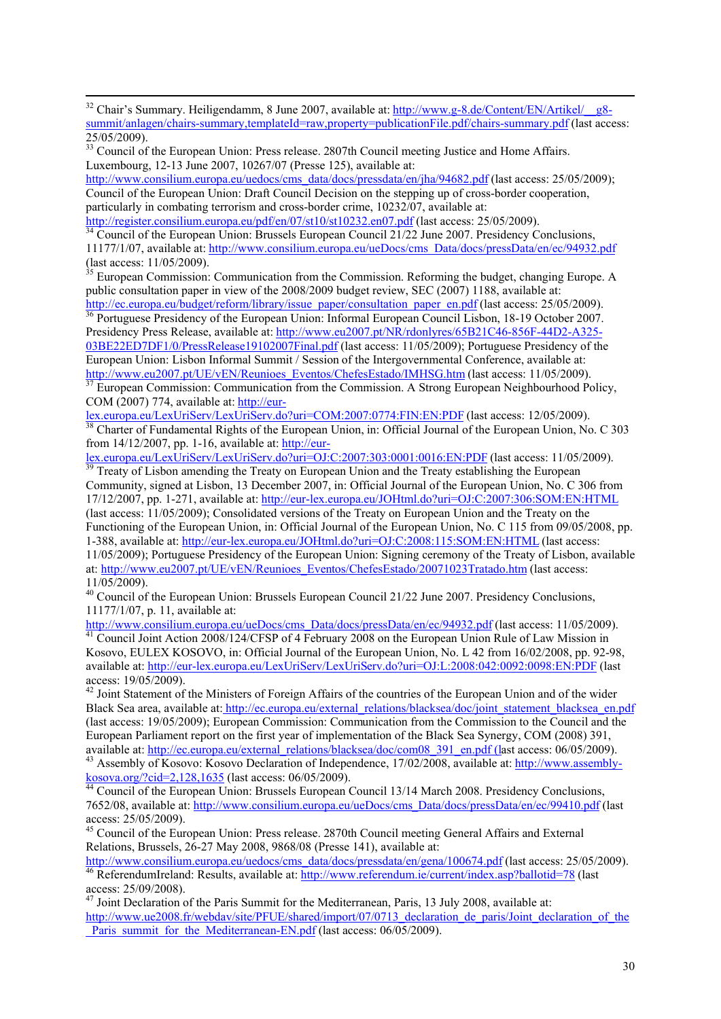<sup>32</sup> Chair's Summary. Heiligendamm, 8 June 2007, available at: http://www.g-8.de/Content/EN/Artikel/\_\_g8summit/anlagen/chairs-summary,templateId=raw,property=publicationFile.pdf/chairs-summary.pdf (last access: 25/05/2009).

http://www.consilium.europa.eu/uedocs/cms\_data/docs/pressdata/en/jha/94682.pdf (last access: 25/05/2009); Council of the European Union: Draft Council Decision on the stepping up of cross-border cooperation, particularly in combating terrorism and cross-border crime, 10232/07, available at:<br>http://register.consilium.europa.eu/pdf/en/07/st10/st10232.en07.pdf (last access: 25/05/2009).

Council of the European Union: Brussels European Council  $21/22$  June 2007. Presidency Conclusions, 11177/1/07, available at: http://www.consilium.europa.eu/ueDocs/cms\_Data/docs/pressData/en/ec/94932.pdf (last access: 11/05/2009).

 $35$  European Commission: Communication from the Commission. Reforming the budget, changing Europe. A public consultation paper in view of the 2008/2009 budget review, SEC (2007) 1188, available at:<br>http://ec.europa.eu/budget/reform/library/issue\_paper/consultation\_paper\_en.pdf (last access: 25/05/2009).

 $\frac{1}{36}$  Portuguese Presidency of the European Union: Informal European Council Lisbon, 18-19 October 2007. Presidency Press Release, available at: http://www.eu2007.pt/NR/rdonlyres/65B21C46-856F-44D2-A325- 03BE22ED7DF1/0/PressRelease19102007Final.pdf (last access: 11/05/2009); Portuguese Presidency of the European Union: Lisbon Informal Summit / Session of the Intergovernmental Conference, available at:

http://www.eu2007.pt/UE/vEN/Reunioes\_Eventos/ChefesEstado/IMHSG.htm (last access: 11/05/2009).<br><sup>37</sup> European Commission: Communication from the Commission. A Strong European Neighbourhood Policy, COM (2007) 774, available at: http://eur-

lex.europa.eu/LexUriServ/LexUriServ.do?uri=COM:2007:0774:FIN:EN:PDF (last access: 12/05/2009). 38 Charter of Fundamental Rights of the European Union, in: Official Journal of the European Union, No. C 303 from 14/12/2007, pp. 1-16, available at: http://eur-

lex.europa.eu/LexUriServ/LexUriServ.do?uri=OJ:C:2007:303:0001:0016:EN:PDF (last access: 11/05/2009).<br><sup>39</sup> Treaty of Lisbon amending the Treaty on European Union and the Treaty establishing the European Community, signed at Lisbon, 13 December 2007, in: Official Journal of the European Union, No. C 306 from 17/12/2007, pp. 1-271, available at: http://eur-lex.europa.eu/JOHtml.do?uri=OJ:C:2007:306:SOM:EN:HTML (last access: 11/05/2009); Consolidated versions of the Treaty on European Union and the Treaty on the Functioning of the European Union, in: Official Journal of the European Union, No. C 115 from 09/05/2008, pp. 1-388, available at: http://eur-lex.europa.eu/JOHtml.do?uri=OJ:C:2008:115:SOM:EN:HTML (last access: 11/05/2009); Portuguese Presidency of the European Union: Signing ceremony of the Treaty of Lisbon, available at: http://www.eu2007.pt/UE/vEN/Reunioes\_Eventos/ChefesEstado/20071023Tratado.htm (last access: 11/05/2009).

 $^{40}$  Council of the European Union: Brussels European Council 21/22 June 2007. Presidency Conclusions, 11177/1/07, p. 11, available at:<br>http://www.consilium.europa.eu/ueDocs/cms\_Data/docs/pressData/en/ec/94932.pdf (last access: 11/05/2009).

 $\frac{41}{10}$  Council Joint Action 2008/124/CFSP of 4 February 2008 on the European Union Rule of Law Mission in Kosovo, EULEX KOSOVO, in: Official Journal of the European Union, No. L 42 from 16/02/2008, pp. 92-98, available at: http://eur-lex.europa.eu/LexUriServ/LexUriServ.do?uri=OJ:L:2008:042:0092:0098:EN:PDF (last access: 19/05/2009).

<sup>42</sup> Joint Statement of the Ministers of Foreign Affairs of the countries of the European Union and of the wider Black Sea area, available at: http://ec.europa.eu/external\_relations/blacksea/doc/joint\_statement\_blacksea\_en.pdf (last access: 19/05/2009); European Commission: Communication from the Commission to the Council and the European Parliament report on the first year of implementation of the Black Sea Synergy, COM (2008) 391, available at: http://ec.europa.eu/external relations/blacksea/doc/com08 391 en.pdf (last access: 06/05/2009).

<sup>43</sup> Assembly of Kosovo: Kosovo Declaration of Independence,  $17/02/2008$ , available at: http://www.assembly-<br>kosova.org/?cid=2.128.1635 (last access: 06/05/2009).

 $\frac{44}{4}$  Council of the European Union: Brussels European Council 13/14 March 2008. Presidency Conclusions, 7652/08, available at: http://www.consilium.europa.eu/ueDocs/cms\_Data/docs/pressData/en/ec/99410.pdf (last access: 25/05/2009).

<sup>45</sup> Council of the European Union: Press release. 2870th Council meeting General Affairs and External Relations, Brussels, 26-27 May 2008, 9868/08 (Presse 141), available at:<br>http://www.consilium.europa.eu/uedocs/cms\_data/docs/pressdata/en/gena/100674.pdf (last access: 25/05/2009).

<sup>46</sup> ReferendumIreland: Results, available at: http://www.referendum.ie/current/index.asp?ballotid=78 (last

access: 25/09/2008). <sup>47</sup> Joint Declaration of the Paris Summit for the Mediterranean, Paris, 13 July 2008, available at:

[http://www.ue2008.fr/webdav/site/PFUE/shared/import/07/0713\\_declaration\\_de\\_paris/Joint\\_declaration\\_of\\_the](http://www.ue2008.fr/webdav/site/PFUE/shared/import/07/0713_declaration_de_paris/Joint_declaration_of_the_Paris_summit_for_the_Mediterranean-EN.pdf) Paris\_summit\_for\_the\_Mediterranean-EN.pdf (last access: 06/05/2009).

<sup>&</sup>lt;sup>33</sup> Council of the European Union: Press release. 2807th Council meeting Justice and Home Affairs. Luxembourg, 12-13 June 2007, 10267/07 (Presse 125), available at: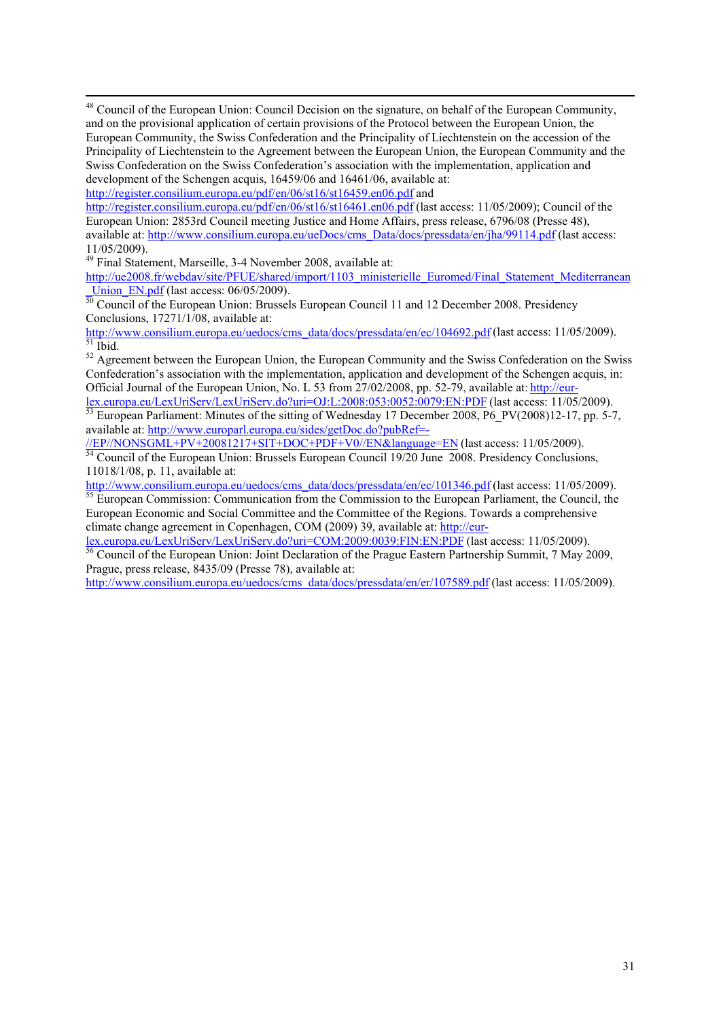48 Council of the European Union: Council Decision on the signature, on behalf of the European Community, and on the provisional application of certain provisions of the Protocol between the European Union, the European Community, the Swiss Confederation and the Principality of Liechtenstein on the accession of the Principality of Liechtenstein to the Agreement between the European Union, the European Community and the Swiss Confederation on the Swiss Confederation's association with the implementation, application and development of the Schengen acquis, 16459/06 and 16461/06, available at:

http://register.consilium.europa.eu/pdf/en/06/st16/st16459.en06.pdf and

http://register.consilium.europa.eu/pdf/en/06/st16/st16461.en06.pdf (last access: 11/05/2009); Council of the European Union: 2853rd Council meeting Justice and Home Affairs, press release, 6796/08 (Presse 48), available at: http://www.consilium.europa.eu/ueDocs/cms\_Data/docs/pressdata/en/jha/99114.pdf (last access: 11/05/2009).

49 Final Statement, Marseille, 3-4 November 2008, available at:

[http://ue2008.fr/webdav/site/PFUE/shared/import/1103\\_ministerielle\\_Euromed/Final\\_Statement\\_Mediterranean](http://ue2008.fr/webdav/site/PFUE/shared/import/1103_ministerielle_Euromed/Final_Statement_Mediterranean_Union_EN.pdf)<br>Union EN.pdf (last access: 06/05/2009).

 $\frac{U(1)(1)}{50}$  Council of the European Union: Brussels European Council 11 and 12 December 2008. Presidency Conclusions, 17271/1/08, available at: Conclusions, 17271/1/08, available at:

http://www.consilium.europa.eu/uedocs/cms\_data/docs/pressdata/en/ec/104692.pdf (last access: 11/05/2009).<br><sup>51</sup> Ibid.

<sup>52</sup> Agreement between the European Union, the European Community and the Swiss Confederation on the Swiss Confederation's association with the implementation, application and development of the Schengen acquis, in: Official Journal of the European Union, No. L 53 from 27/02/2008, pp. 52-79, available at: http://eur-<br>lex.europa.eu/LexUriServ/LexUriServ.do?uri=OJ:L:2008:053:0052:0079:EN:PDF (last access: 11/05/2009).

European Parliament: Minutes of the sitting of Wednesday 17 December 2008,  $\vec{P6}$ \_PV(2008)12-17, pp. 5-7, available at: http://www.europarl.europa.eu/sides/getDoc.do?pubRef=-<br>
//EP//NONSGML+PV+20081217+SIT+DOC+PDF+V0//EN&language=EN (last access: 11/05/2009).

 $\frac{1}{54}$  Council of the European Union: Brussels European Council 19/20 June 2008. Presidency Conclusions, 11018/1/08, p. 11, available at:<br>http://www.consilium.europa.eu/uedocs/cms\_data/docs/pressdata/en/ec/101346.pdf (last access: 11/05/2009).

 $\frac{1}{55}$  European Commission: Communication from the Commission to the European Parliament, the Council, the European Economic and Social Committee and the Committee of the Regions. Towards a comprehensive climate change agreement in Copenhagen, COM (2009) 39, available at: http://eur-

lex.europa.eu/LexUriServ/LexUriServ.do?uri=COM:2009:0039:FIN:EN:PDF (last access: 11/05/2009).<br><sup>56</sup> Council of the European Union: Joint Declaration of the Prague Eastern Partnership Summit, 7 May 2009, Prague, press release, 8435/09 (Presse 78), available at:

http://www.consilium.europa.eu/uedocs/cms\_data/docs/pressdata/en/er/107589.pdf (last access: 11/05/2009).